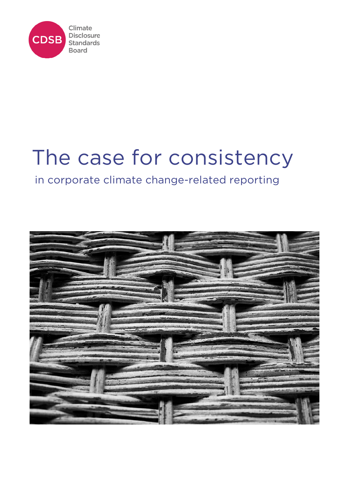

# The case for consistency

# in corporate climate change-related reporting

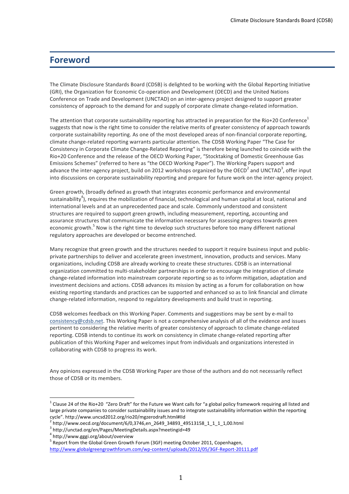### **Foreword**

The Climate Disclosure Standards Board (CDSB) is delighted to be working with the Global Reporting Initiative (GRI), the Organization for Economic Co-operation and Development (OECD) and the United Nations Conference on Trade and Development (UNCTAD) on an inter-agency project designed to support greater consistency of approach to the demand for and supply of corporate climate change-related information.

The attention that corporate sustainability reporting has attracted in preparation for the Rio+20 Conference<sup>1</sup> suggests that now is the right time to consider the relative merits of greater consistency of approach towards corporate sustainability reporting. As one of the most developed areas of non-financial corporate reporting, climate change-related reporting warrants particular attention. The CDSB Working Paper "The Case for Consistency in Corporate Climate Change-Related Reporting" is therefore being launched to coincide with the Rio+20 Conference and the release of the OECD Working Paper, "Stocktaking of Domestic Greenhouse Gas Emissions Schemes" (referred to here as "the OECD Working Paper"). The Working Papers support and advance the inter-agency project, build on 2012 workshops organized by the OECD<sup>2</sup> and UNCTAD<sup>3</sup>, offer input into discussions on corporate sustainability reporting and prepare for future work on the inter-agency project.

Green growth, (broadly defined as growth that integrates economic performance and environmental sustainability<sup>4</sup>), requires the mobilization of financial, technological and human capital at local, national and international levels and at an unprecedented pace and scale. Commonly understood and consistent structures are required to support green growth, including measurement, reporting, accounting and assurance structures that communicate the information necessary for assessing progress towards green economic growth.<sup>5</sup> Now is the right time to develop such structures before too many different national regulatory approaches are developed or become entrenched.

Many recognize that green growth and the structures needed to support it require business input and publicprivate partnerships to deliver and accelerate green investment, innovation, products and services. Many organizations, including CDSB are already working to create these structures. CDSB is an international organization committed to multi-stakeholder partnerships in order to encourage the integration of climate change-related information into mainstream corporate reporting so as to inform mitigation, adaptation and investment decisions and actions. CDSB advances its mission by acting as a forum for collaboration on how existing reporting standards and practices can be supported and enhanced so as to link financial and climate change-related information, respond to regulatory developments and build trust in reporting.

CDSB welcomes feedback on this Working Paper. Comments and suggestions may be sent by e-mail to consistency@cdsb.net. This Working Paper is not a comprehensive analysis of all of the evidence and issues pertinent to considering the relative merits of greater consistency of approach to climate change-related reporting. CDSB intends to continue its work on consistency in climate change-related reporting after publication of this Working Paper and welcomes input from individuals and organizations interested in collaborating with CDSB to progress its work.

Any opinions expressed in the CDSB Working Paper are those of the authors and do not necessarily reflect those of CDSB or its members.

 $^1$  Clause 24 of the Rio+20 "Zero Draft" for the Future we Want calls for "a global policy framework requiring all listed and large private companies to consider sustainability issues and to integrate sustainability information within the reporting cycle". http://www.uncsd2012.org/rio20/mgzerodraft.html#IId<br><sup>2</sup> http://www.oecd.org/document/6/0,3746,en\_2649\_34893\_49513158\_1\_1\_1\_1,00.html

<sup>3</sup> http://unctad.org/en/Pages/MeetingDetails.aspx?meetingid=49

<sup>4</sup> http://www.gggi.org/about/overview

<sup>&</sup>lt;sup>5</sup> Report from the Global Green Growth Forum (3GF) meeting October 2011, Copenhagen, http://www.globalgreengrowthforum.com/wp-content/uploads/2012/05/3GF-Report-20111.pdf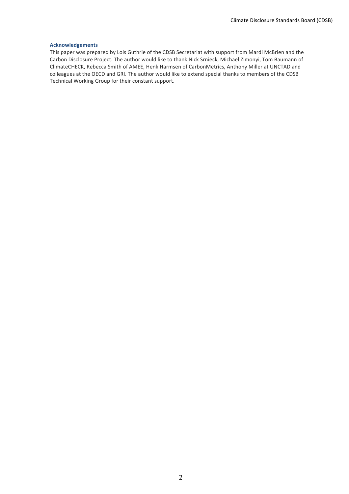#### **Acknowledgements**

This paper was prepared by Lois Guthrie of the CDSB Secretariat with support from Mardi McBrien and the Carbon Disclosure Project. The author would like to thank Nick Srnieck, Michael Zimonyi, Tom Baumann of ClimateCHECK, Rebecca Smith of AMEE, Henk Harmsen of CarbonMetrics, Anthony Miller at UNCTAD and colleagues at the OECD and GRI. The author would like to extend special thanks to members of the CDSB Technical Working Group for their constant support.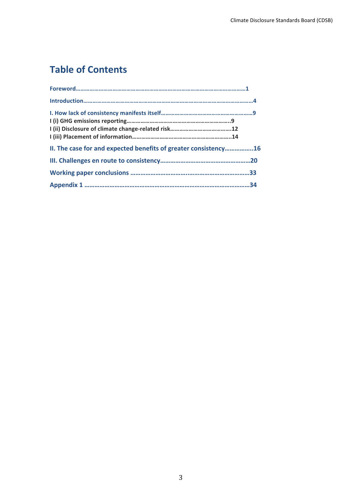## **Table of Contents**

| II. The case for and expected benefits of greater consistency16 |  |
|-----------------------------------------------------------------|--|
|                                                                 |  |
|                                                                 |  |
|                                                                 |  |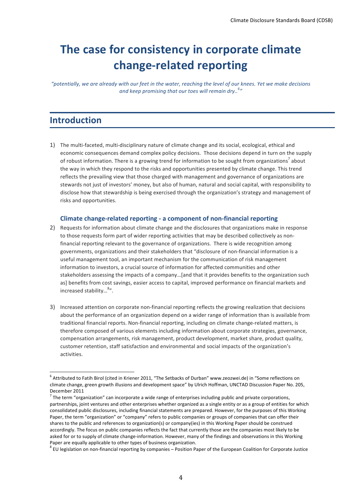# **The case for consistency in corporate climate** change-related reporting

*"potentially,,we,are,already,with,our,feet,in,the,water,,reaching,the,level,of,our,knees. Yet,we,make,decisions,* and keep promising that our toes will remain dry..<sup>6</sup>"

### **Introduction**

1) The multi-faceted, multi-disciplinary nature of climate change and its social, ecological, ethical and economic consequences demand complex policy decisions. Those decisions depend in turn on the supply of robust information. There is a growing trend for information to be sought from organizations<sup>7</sup> about the way in which they respond to the risks and opportunities presented by climate change. This trend reflects the prevailing view that those charged with management and governance of organizations are stewards not just of investors' money, but also of human, natural and social capital, with responsibility to disclose how that stewardship is being exercised through the organization's strategy and management of risks and opportunities.

#### **Climate change-related reporting - a component of non-financial reporting**

- 2) Requests for information about climate change and the disclosures that organizations make in response to those requests form part of wider reporting activities that may be described collectively as nonfinancial reporting relevant to the governance of organizations. There is wide recognition among governments, organizations and their stakeholders that "disclosure of non-financial information is a useful management tool, an important mechanism for the communication of risk management information to investors, a crucial source of information for affected communities and other stakeholders assessing the impacts of a company...[and that it provides benefits to the organization such as] benefits from cost savings, easier access to capital, improved performance on financial markets and increased stability...<sup>8</sup>".
- 3) Increased attention on corporate non-financial reporting reflects the growing realization that decisions about the performance of an organization depend on a wider range of information than is available from traditional financial reports. Non-financial reporting, including on climate change-related matters, is therefore composed of various elements including information about corporate strategies, governance, compensation arrangements, risk management, product development, market share, product quality, customer retention, staff satisfaction and environmental and social impacts of the organization's activities.

 $^6$  Attributed to Fatih Birol (cited in Kriener 2011, "The Setbacks of Durban" www.zeozwei.de) in "Some reflections on climate change, green growth illusions and development space" by Ulrich Hoffman, UNCTAD Discussion Paper No. 205, December 2011

 $^7$  The term "organization" can incorporate a wide range of enterprises including public and private corporations, partnerships, joint ventures and other enterprises whether organized as a single entity or as a group of entities for which consolidated public disclosures, including financial statements are prepared. However, for the purposes of this Working Paper, the term "organization" or "company" refers to public companies or groups of companies that can offer their shares to the public and references to organization(s) or company(ies) in this Working Paper should be construed accordingly. The focus on public companies reflects the fact that currently those are the companies most likely to be asked for or to supply of climate change-information. However, many of the findings and observations in this Working Paper are equally applicable to other types of business organization.

 $^8$  EU legislation on non-financial reporting by companies – Position Paper of the European Coalition for Corporate Justice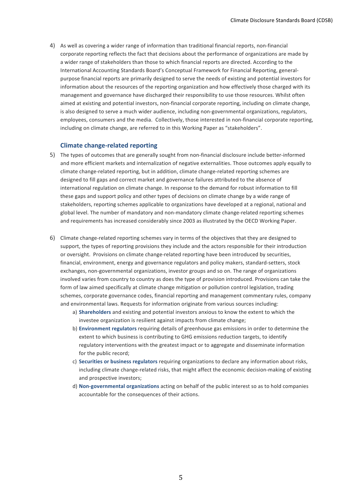4) As well as covering a wider range of information than traditional financial reports, non-financial corporate reporting reflects the fact that decisions about the performance of organizations are made by a wider range of stakeholders than those to which financial reports are directed. According to the International Accounting Standards Board's Conceptual Framework for Financial Reporting, generalpurpose financial reports are primarily designed to serve the needs of existing and potential investors for information about the resources of the reporting organization and how effectively those charged with its management and governance have discharged their responsibility to use those resources. Whilst often aimed at existing and potential investors, non-financial corporate reporting, including on climate change, is also designed to serve a much wider audience, including non-governmental organizations, regulators, employees, consumers and the media. Collectively, those interested in non-financial corporate reporting, including on climate change, are referred to in this Working Paper as "stakeholders".

#### **Climate change-related reporting**

- 5) The types of outcomes that are generally sought from non-financial disclosure include better-informed and more efficient markets and internalization of negative externalities. Those outcomes apply equally to climate change-related reporting, but in addition, climate change-related reporting schemes are designed to fill gaps and correct market and governance failures attributed to the absence of international regulation on climate change. In response to the demand for robust information to fill these gaps and support policy and other types of decisions on climate change by a wide range of stakeholders, reporting schemes applicable to organizations have developed at a regional, national and global level. The number of mandatory and non-mandatory climate change-related reporting schemes and requirements has increased considerably since 2003 as illustrated by the OECD Working Paper.
- 6) Climate change-related reporting schemes vary in terms of the objectives that they are designed to support, the types of reporting provisions they include and the actors responsible for their introduction or oversight. Provisions on climate change-related reporting have been introduced by securities, financial, environment, energy and governance regulators and policy makers, standard-setters, stock exchanges, non-governmental organizations, investor groups and so on. The range of organizations involved varies from country to country as does the type of provision introduced. Provisions can take the form of law aimed specifically at climate change mitigation or pollution control legislation, trading schemes, corporate governance codes, financial reporting and management commentary rules, company and environmental laws. Requests for information originate from various sources including:
	- a) **Shareholders** and existing and potential investors anxious to know the extent to which the investee organization is resilient against impacts from climate change;
	- b) **Environment regulators** requiring details of greenhouse gas emissions in order to determine the extent to which business is contributing to GHG emissions reduction targets, to identify regulatory interventions with the greatest impact or to aggregate and disseminate information for the public record;
	- c) **Securities or business regulators** requiring organizations to declare any information about risks, including climate change-related risks, that might affect the economic decision-making of existing and prospective investors;
	- d) **Non-governmental organizations** acting on behalf of the public interest so as to hold companies accountable for the consequences of their actions.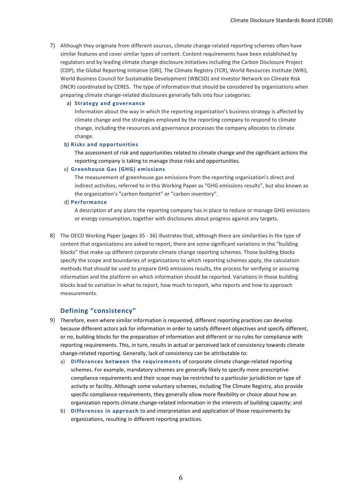7) Although they originate from different sources, climate change-related reporting schemes often have similar features and cover similar types of content. Content requirements have been established by regulators and by leading climate change disclosure initiatives including the Carbon Disclosure Project (CDP), the Global Reporting Initiative (GRI), The Climate Registry (TCR), World Resources Institute (WRI), World Business Council for Sustainable Development (WBCSD) and Investor Network on Climate Risk (INCR) coordinated by CERES. The type of information that should be considered by organizations when preparing climate change-related disclosures generally falls into four categories:

#### a) Strategy and governance

Information about the way in which the reporting organization's business strategy is affected by climate change and the strategies employed by the reporting company to respond to climate change, including the resources and governance processes the company allocates to climate change.

#### b) Risks and opportunities

The assessment of risk and opportunities related to climate change and the significant actions the reporting company is taking to manage those risks and opportunities.

#### c) Greenhouse Gas (GHG) emissions

The measurement of greenhouse gas emissions from the reporting organization's direct and indirect activities, referred to in this Working Paper as "GHG emissions results", but also known as the organization's "carbon footprint" or "carbon inventory".

#### d) **Performance**

A description of any plans the reporting company has in place to reduce or manage GHG emissions or energy consumption, together with disclosures about progress against any targets.

8) The OECD Working Paper (pages 35 - 36) illustrates that, although there are similarities in the type of content that organizations are asked to report, there are some significant variations in the "building blocks" that make up different corporate climate change reporting schemes. Those building blocks specify the scope and boundaries of organizations to which reporting schemes apply, the calculation methods that should be used to prepare GHG emissions results, the process for verifying or assuring information and the platform on which information should be reported. Variations in those building blocks lead to variation in what to report, how much to report, who reports and how to approach measurements.

### **Defining\$"consistency"**

- 9) Therefore, even where similar information is requested, different reporting practices can develop because different actors ask for information in order to satisfy different objectives and specify different, or no, building blocks for the preparation of information and different or no rules for compliance with reporting requirements. This, in turn, results in actual or perceived lack of consistency towards climate change-related reporting. Generally, lack of consistency can be attributable to:
	- a) Differences between the requirements of corporate climate change-related reporting schemes. For example, mandatory schemes are generally likely to specify more prescriptive compliance requirements and their scope may be restricted to a particular jurisdiction or type of activity or facility. Although some voluntary schemes, including The Climate Registry, also provide specific compliance requirements, they generally allow more flexibility or choice about how an organization reports climate change-related information in the interests of building capacity; and
	- b) Differences in approach to and interpretation and application of those requirements by organizations, resulting in different reporting practices.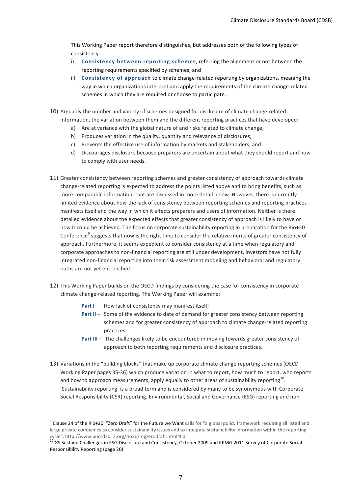This Working Paper report therefore distinguishes, but addresses both of the following types of consistency:

- i) **Consistency between reporting schemes**, referring the alignment or not between the reporting requirements specified by schemes; and
- ii) Consistency of approach to climate change-related reporting by organizations, meaning the way in which organizations interpret and apply the requirements of the climate change-related schemes in which they are required or choose to participate.
- 10) Arguably the number and variety of schemes designed for disclosure of climate change-related information, the variation between them and the different reporting practices that have developed:
	- a) Are at variance with the global nature of and risks related to climate change;
	- b) Produces variation in the quality, quantity and relevance of disclosures;
	- c) Prevents the effective use of information by markets and stakeholders; and
	- d) Discourages disclosure because preparers are uncertain about what they should report and how to comply with user needs.
- 11) Greater consistency between reporting schemes and greater consistency of approach towards climate change-related reporting is expected to address the points listed above and to bring benefits, such as more comparable information, that are discussed in more detail below. However, there is currently limited evidence about how the lack of consistency between reporting schemes and reporting practices manifests itself and the way in which it affects preparers and users of information. Neither is there detailed evidence about the expected effects that greater consistency of approach is likely to have or how it could be achieved. The focus on corporate sustainability reporting in preparation for the Rio+20 Conference<sup>9</sup> suggests that now is the right time to consider the relative merits of greater consistency of approach. Furthermore, it seems expedient to consider consistency at a time when regulatory and corporate approaches to non-financial reporting are still under development, investors have not fully integrated non-financial reporting into their risk assessment modeling and behavioral and regulatory paths are not yet entrenched.
- 12) This Working Paper builds on the OECD findings by considering the case for consistency in corporate climate change-related reporting. The Working Paper will examine:
	- **Part I** How lack of consistency may manifest itself:
	- **Part II –** Some of the evidence to date of demand for greater consistency between reporting schemes and for greater consistency of approach to climate change-related reporting practices;
	- **Part III** The challenges likely to be encountered in moving towards greater consistency of approach to both reporting requirements and disclosure practices.
- 13) Variations in the "building blocks" that make up corporate climate change reporting schemes (OECD Working Paper pages 35-36) which produce variation in what to report, how much to report, who reports and how to approach measurements, apply equally to other areas of sustainability reporting<sup>10</sup>. 'Sustainability reporting' is a broad term and is considered by many to be synonymous with Corporate Social Responsibility (CSR) reporting, Environmental, Social and Governance (ESG) reporting and non-

 $^9$  Clause 24 of the Rio+20 "Zero Draft" for the Future we Want calls for "a global policy framework requiring all listed and large private companies to consider sustainability issues and to integrate sustainability information within the reporting cycle". http://www.uncsd2012.org/rio20/mgzerodraft.html#IId

<sup>10</sup> GS Sustain: Challenges in ESG Disclosure and Consistency, October 2009 and KPMG 2011 Survey of Corporate Social Responsibility Reporting (page 20)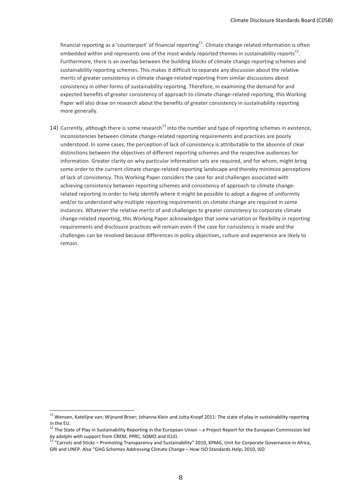financial reporting as a 'counterpart' of financial reporting<sup>11</sup>. Climate change-related information is often embedded within and represents one of the most widely reported themes in sustainability reports<sup>12</sup>. Furthermore, there is an overlap between the building blocks of climate change reporting schemes and sustainability reporting schemes. This makes it difficult to separate any discussion about the relative merits of greater consistency in climate change-related reporting from similar discussions about consistency in other forms of sustainability reporting. Therefore, in examining the demand for and expected benefits of greater consistency of approach to climate change-related reporting, this Working Paper will also draw on research about the benefits of greater consistency in sustainability reporting more generally.

14) Currently, although there is some research<sup>13</sup> into the number and type of reporting schemes in existence, inconsistencies between climate change-related reporting requirements and practices are poorly understood. In some cases, the perception of lack of consistency is attributable to the absence of clear distinctions between the objectives of different reporting schemes and the respective audiences for information. Greater clarity on why particular information sets are required, and for whom, might bring some order to the current climate change-related reporting landscape and thereby minimize perceptions of lack of consistency. This Working Paper considers the case for and challenges associated with achieving consistency between reporting schemes and consistency of approach to climate changerelated reporting in order to help identify where it might be possible to adopt a degree of uniformity and/or to understand why multiple reporting requirements on climate change are required in some instances. Whatever the relative merits of and challenges to greater consistency to corporate climate change-related reporting, this Working Paper acknowledges that some variation or flexibility in reporting requirements and disclosure practices will remain even if the case for consistency is made and the challenges can be resolved because differences in policy objectives, culture and experience are likely to remain.

<sup>&</sup>lt;sup>11</sup> Wensen, Katelijne van; Wijnand Broer; Johanna Klein and Jutta Knopf 2011: The state of play in sustainability reporting in the EU.

<sup>&</sup>lt;sup>12</sup> The State of Play in Sustainability Reporting in the European Union – a Project Report for the European Commission led by adelphi with support from CREM, PPRC, SOMO and ICLEI.

<sup>&</sup>lt;sup>13'</sup> "Carrots and Sticks – Promoting Transparency and Sustainability" 2010, KPMG, Unit for Corporate Governance in Africa, GRI and UNEP. Also "GHG Schemes Addressing Climate Change - How ISO Standards Help, 2010, ISO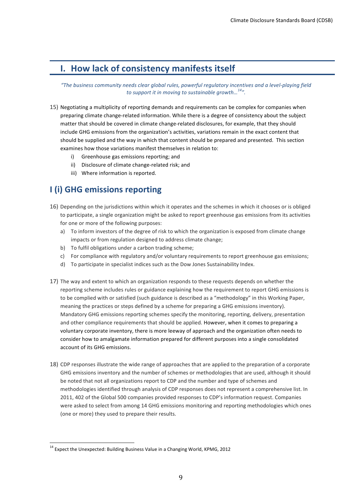### **I.** How lack of consistency manifests itself

*"The,business,community,needs,clear,global,rules,,powerful,regulatory,incentives,and,a,level?playing,field, to support it in moving to sustainable growth...*<sup>14</sup>".

- 15) Negotiating a multiplicity of reporting demands and requirements can be complex for companies when preparing climate change-related information. While there is a degree of consistency about the subject matter that should be covered in climate change-related disclosures, for example, that they should include GHG emissions from the organization's activities, variations remain in the exact content that should be supplied and the way in which that content should be prepared and presented. This section examines how those variations manifest themselves in relation to:
	- i) Greenhouse gas emissions reporting; and
	- ii) Disclosure of climate change-related risk; and
	- iii) Where information is reported.

### **I** (i) GHG emissions reporting

- 16) Depending on the jurisdictions within which it operates and the schemes in which it chooses or is obliged to participate, a single organization might be asked to report greenhouse gas emissions from its activities for one or more of the following purposes:
	- a) To inform investors of the degree of risk to which the organization is exposed from climate change impacts or from regulation designed to address climate change;
	- b) To fulfil obligations under a carbon trading scheme;
	- c) For compliance with regulatory and/or voluntary requirements to report greenhouse gas emissions;
	- d) To participate in specialist indices such as the Dow Jones Sustainability Index.
- 17) The way and extent to which an organization responds to these requests depends on whether the reporting scheme includes rules or guidance explaining how the requirement to report GHG emissions is to be complied with or satisfied (such guidance is described as a "methodology" in this Working Paper, meaning the practices or steps defined by a scheme for preparing a GHG emissions inventory). Mandatory GHG emissions reporting schemes specify the monitoring, reporting, delivery, presentation and other compliance requirements that should be applied. However, when it comes to preparing a voluntary corporate inventory, there is more leeway of approach and the organization often needs to consider how to amalgamate information prepared for different purposes into a single consolidated account of its GHG emissions.
- 18) CDP responses illustrate the wide range of approaches that are applied to the preparation of a corporate GHG emissions inventory and the number of schemes or methodologies that are used, although it should be noted that not all organizations report to CDP and the number and type of schemes and methodologies identified through analysis of CDP responses does not represent a comprehensive list. In 2011, 402 of the Global 500 companies provided responses to CDP's information request. Companies were asked to select from among 14 GHG emissions monitoring and reporting methodologies which ones (one or more) they used to prepare their results.

 $14$  Expect the Unexpected: Building Business Value in a Changing World, KPMG, 2012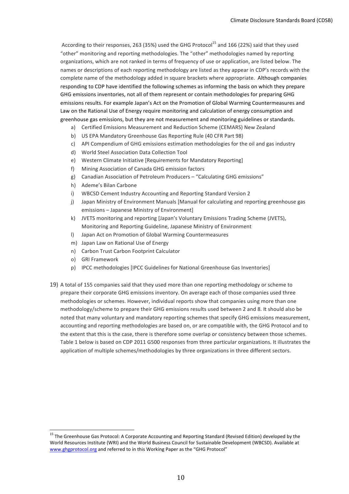According to their responses, 263 (35%) used the GHG Protocol<sup>15</sup> and 166 (22%) said that they used "other" monitoring and reporting methodologies. The "other" methodologies named by reporting organizations, which are not ranked in terms of frequency of use or application, are listed below. The names or descriptions of each reporting methodology are listed as they appear in CDP's records with the complete name of the methodology added in square brackets where appropriate. Although companies responding to CDP have identified the following schemes as informing the basis on which they prepare GHG emissions inventories, not all of them represent or contain methodologies for preparing GHG emissions results. For example Japan's Act on the Promotion of Global Warming Countermeasures and Law on the Rational Use of Energy require monitoring and calculation of energy consumption and greenhouse gas emissions, but they are not measurement and monitoring guidelines or standards.

- a) Certified Emissions Measurement and Reduction Scheme (CEMARS) New Zealand
- b) US EPA Mandatory Greenhouse Gas Reporting Rule (40 CFR Part 98)
- c) API Compendium of GHG emissions estimation methodologies for the oil and gas industry
- d) World Steel Association Data Collection Tool
- e) Western Climate Initiative [Requirements for Mandatory Reporting]
- f) Mining Association of Canada GHG emission factors
- g) Canadian Association of Petroleum Producers "Calculating GHG emissions"
- h) Ademe's Bilan Carbone
- i) WBCSD Cement Industry Accounting and Reporting Standard Version 2
- j) Japan Ministry of Environment Manuals [Manual for calculating and reporting greenhouse gas emissions - Japanese Ministry of Environment]
- k) JVETS monitoring and reporting [Japan's Voluntary Emissions Trading Scheme (JVETS), Monitoring and Reporting Guideline, Japanese Ministry of Environment
- l) Japan Act on Promotion of Global Warming Countermeasures
- m) Japan Law on Rational Use of Energy
- n) Carbon Trust Carbon Footprint Calculator
- o) GRI Framework
- p) IPCC methodologies [IPCC Guidelines for National Greenhouse Gas Inventories]
- 19) A total of 155 companies said that they used more than one reporting methodology or scheme to prepare their corporate GHG emissions inventory. On average each of those companies used three methodologies or schemes. However, individual reports show that companies using more than one methodology/scheme to prepare their GHG emissions results used between 2 and 8. It should also be noted that many voluntary and mandatory reporting schemes that specify GHG emissions measurement, accounting and reporting methodologies are based on, or are compatible with, the GHG Protocol and to the extent that this is the case, there is therefore some overlap or consistency between those schemes. Table 1 below is based on CDP 2011 G500 responses from three particular organizations. It illustrates the application of multiple schemes/methodologies by three organizations in three different sectors.

<sup>&</sup>lt;sup>15</sup> The Greenhouse Gas Protocol: A Corporate Accounting and Reporting Standard (Revised Edition) developed by the World Resources Institute (WRI) and the World Business Council for Sustainable Development (WBCSD). Available at www.ghgprotocol.org and referred to in this Working Paper as the "GHG Protocol"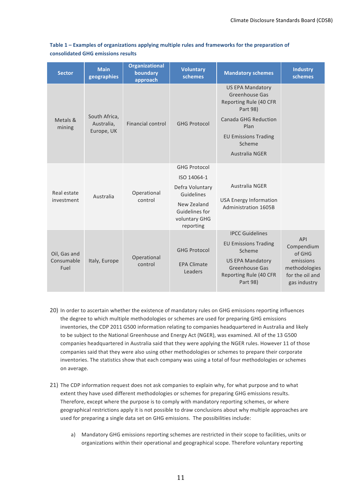| <b>Sector</b>                      | <b>Main</b><br>geographies                | <b>Organizational</b><br>boundary<br>approach | <b>Voluntary</b><br>schemes                                 | <b>Mandatory schemes</b>                                                                                                 | <b>Industry</b><br>schemes                                                            |
|------------------------------------|-------------------------------------------|-----------------------------------------------|-------------------------------------------------------------|--------------------------------------------------------------------------------------------------------------------------|---------------------------------------------------------------------------------------|
|                                    |                                           |                                               |                                                             | <b>US EPA Mandatory</b><br><b>Greenhouse Gas</b><br>Reporting Rule (40 CFR<br>Part 98)                                   |                                                                                       |
| Metals &<br>mining                 | South Africa,<br>Australia,<br>Europe, UK | Financial control                             | <b>GHG Protocol</b>                                         | <b>Canada GHG Reduction</b><br>Plan                                                                                      |                                                                                       |
|                                    |                                           |                                               |                                                             | <b>EU Emissions Trading</b><br>Scheme                                                                                    |                                                                                       |
|                                    |                                           |                                               |                                                             | <b>Australia NGER</b>                                                                                                    |                                                                                       |
|                                    | Australia                                 | Operational<br>control                        | <b>GHG Protocol</b>                                         |                                                                                                                          |                                                                                       |
| Real estate<br>investment          |                                           |                                               | ISO 14064-1                                                 |                                                                                                                          |                                                                                       |
|                                    |                                           |                                               | Defra Voluntary<br>Guidelines                               | Australia NGER                                                                                                           |                                                                                       |
|                                    |                                           |                                               | New Zealand<br>Guidelines for<br>voluntary GHG<br>reporting | <b>USA Energy Information</b><br>Administration 1605B                                                                    |                                                                                       |
|                                    |                                           |                                               |                                                             | <b>IPCC Guidelines</b>                                                                                                   | API                                                                                   |
| Oil, Gas and<br>Consumable<br>Fuel | Italy, Europe                             | Operational<br>control                        | <b>GHG Protocol</b><br><b>EPA Climate</b><br>Leaders        | <b>EU Emissions Trading</b><br>Scheme<br><b>US EPA Mandatory</b><br>Greenhouse Gas<br>Reporting Rule (40 CFR<br>Part 98) | Compendium<br>of GHG<br>emissions<br>methodologies<br>for the oil and<br>gas industry |

Table 1 – Examples of organizations applying multiple rules and frameworks for the preparation of consolidated GHG emissions results

- 20) In order to ascertain whether the existence of mandatory rules on GHG emissions reporting influences the degree to which multiple methodologies or schemes are used for preparing GHG emissions inventories, the CDP 2011 G500 information relating to companies headquartered in Australia and likely to be subject to the National Greenhouse and Energy Act (NGER), was examined. All of the 13 G500 companies headquartered in Australia said that they were applying the NGER rules. However 11 of those companies said that they were also using other methodologies or schemes to prepare their corporate inventories. The statistics show that each company was using a total of four methodologies or schemes on average.
- 21) The CDP information request does not ask companies to explain why, for what purpose and to what extent they have used different methodologies or schemes for preparing GHG emissions results. Therefore, except where the purpose is to comply with mandatory reporting schemes, or where geographical restrictions apply it is not possible to draw conclusions about why multiple approaches are used for preparing a single data set on GHG emissions. The possibilities include:
	- a) Mandatory GHG emissions reporting schemes are restricted in their scope to facilities, units or organizations within their operational and geographical scope. Therefore voluntary reporting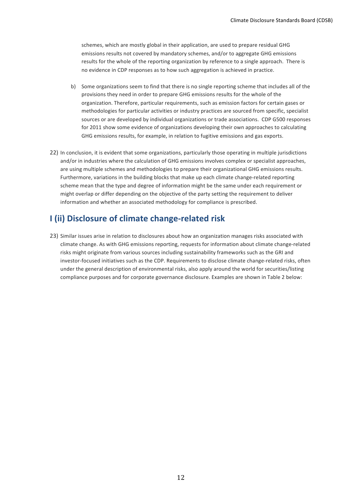schemes, which are mostly global in their application, are used to prepare residual GHG emissions results not covered by mandatory schemes, and/or to aggregate GHG emissions results for the whole of the reporting organization by reference to a single approach. There is no evidence in CDP responses as to how such aggregation is achieved in practice.

- b) Some organizations seem to find that there is no single reporting scheme that includes all of the provisions they need in order to prepare GHG emissions results for the whole of the organization. Therefore, particular requirements, such as emission factors for certain gases or methodologies for particular activities or industry practices are sourced from specific, specialist sources or are developed by individual organizations or trade associations. CDP G500 responses for 2011 show some evidence of organizations developing their own approaches to calculating GHG emissions results, for example, in relation to fugitive emissions and gas exports.
- 22) In conclusion, it is evident that some organizations, particularly those operating in multiple jurisdictions and/or in industries where the calculation of GHG emissions involves complex or specialist approaches, are using multiple schemes and methodologies to prepare their organizational GHG emissions results. Furthermore, variations in the building blocks that make up each climate change-related reporting scheme mean that the type and degree of information might be the same under each requirement or might overlap or differ depending on the objective of the party setting the requirement to deliver information and whether an associated methodology for compliance is prescribed.

### **I** (ii) Disclosure of climate change-related risk

23) Similar issues arise in relation to disclosures about how an organization manages risks associated with climate change. As with GHG emissions reporting, requests for information about climate change-related risks might originate from various sources including sustainability frameworks such as the GRI and investor-focused initiatives such as the CDP. Requirements to disclose climate change-related risks, often under the general description of environmental risks, also apply around the world for securities/listing compliance purposes and for corporate governance disclosure. Examples are shown in Table 2 below: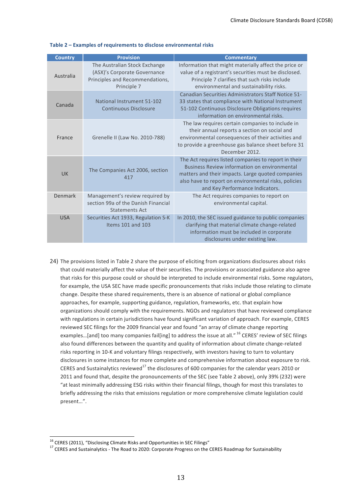| <b>Country</b> | <b>Provision</b>                                                                                                | <b>Commentary</b>                                                                                                                                                                                                                                    |
|----------------|-----------------------------------------------------------------------------------------------------------------|------------------------------------------------------------------------------------------------------------------------------------------------------------------------------------------------------------------------------------------------------|
| Australia      | The Australian Stock Exchange<br>(ASX)'s Corporate Governance<br>Principles and Recommendations,<br>Principle 7 | Information that might materially affect the price or<br>value of a registrant's securities must be disclosed.<br>Principle 7 clarifies that such risks include<br>environmental and sustainability risks.                                           |
| Canada         | National Instrument 51-102<br><b>Continuous Disclosure</b>                                                      | Canadian Securities Administrators Staff Notice 51-<br>33 states that compliance with National Instrument<br>51-102 Continuous Disclosure Obligations requires<br>information on environmental risks.                                                |
| France         | Grenelle II (Law No. 2010-788)                                                                                  | The law requires certain companies to include in<br>their annual reports a section on social and<br>environmental consequences of their activities and<br>to provide a greenhouse gas balance sheet before 31<br>December 2012.                      |
| UK             | The Companies Act 2006, section<br>417                                                                          | The Act requires listed companies to report in their<br>Business Review information on environmental<br>matters and their impacts. Large quoted companies<br>also have to report on environmental risks, policies<br>and Key Performance Indicators. |
| Denmark        | Management's review required by<br>section 99a of the Danish Financial<br><b>Statements Act</b>                 | The Act requires companies to report on<br>environmental capital.                                                                                                                                                                                    |
| <b>USA</b>     | Securities Act 1933, Regulation S-K<br>Items 101 and 103                                                        | In 2010, the SEC issued guidance to public companies<br>clarifying that material climate change-related<br>information must be included in corporate<br>disclosures under existing law.                                                              |

#### Table 2 – Examples of requirements to disclose environmental risks

24) The provisions listed in Table 2 share the purpose of eliciting from organizations disclosures about risks that could materially affect the value of their securities. The provisions or associated guidance also agree that risks for this purpose could or should be interpreted to include environmental risks. Some regulators, for example, the USA SEC have made specific pronouncements that risks include those relating to climate change. Despite these shared requirements, there is an absence of national or global compliance approaches, for example, supporting guidance, regulation, frameworks, etc. that explain how organizations should comply with the requirements. NGOs and regulators that have reviewed compliance with regulations in certain jurisdictions have found significant variation of approach. For example, CERES reviewed SEC filings for the 2009 financial year and found "an array of climate change reporting examples...[and] too many companies fail[ing] to address the issue at all." <sup>16</sup> CERES' review of SEC filings also found differences between the quantity and quality of information about climate change-related risks reporting in 10-K and voluntary filings respectively, with investors having to turn to voluntary disclosures in some instances for more complete and comprehensive information about exposure to risk. CERES and Sustainalytics reviewed<sup>17</sup> the disclosures of 600 companies for the calendar years 2010 or 2011 and found that, despite the pronouncements of the SEC (see Table 2 above), only 39% (232) were "at least minimally addressing ESG risks within their financial filings, though for most this translates to briefly addressing the risks that emissions regulation or more comprehensive climate legislation could present…".

<sup>&</sup>lt;sup>16</sup> CERES (2011), "Disclosing Climate Risks and Opportunities in SEC Filings"<br><sup>17</sup> CERES and Sustainalytics - The Road to 2020: Corporate Progress on the CERES Roadmap for Sustainability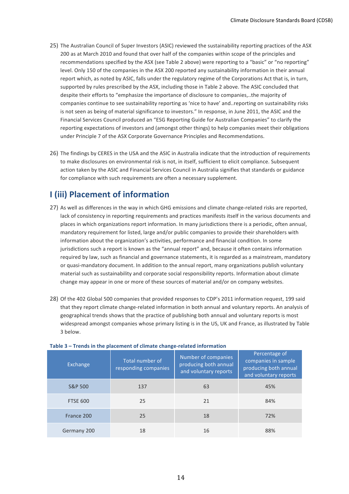- 25) The Australian Council of Super Investors (ASIC) reviewed the sustainability reporting practices of the ASX 200 as at March 2010 and found that over half of the companies within scope of the principles and recommendations specified by the ASX (see Table 2 above) were reporting to a "basic" or "no reporting" level. Only 150 of the companies in the ASX 200 reported any sustainability information in their annual report which, as noted by ASIC, falls under the regulatory regime of the Corporations Act that is, in turn, supported by rules prescribed by the ASX, including those in Table 2 above. The ASIC concluded that despite their efforts to "emphasize the importance of disclosure to companies,..the majority of companies continue to see sustainability reporting as 'nice to have' and..reporting on sustainability risks is not seen as being of material significance to investors." In response, in June 2011, the ASIC and the Financial Services Council produced an "ESG Reporting Guide for Australian Companies" to clarify the reporting expectations of investors and (amongst other things) to help companies meet their obligations under Principle 7 of the ASX Corporate Governance Principles and Recommendations.
- 26) The findings by CERES in the USA and the ASIC in Australia indicate that the introduction of requirements to make disclosures on environmental risk is not, in itself, sufficient to elicit compliance. Subsequent action taken by the ASIC and Financial Services Council in Australia signifies that standards or guidance for compliance with such requirements are often a necessary supplement.

### **I (iii)\$Placement\$of\$information**

- 27) As well as differences in the way in which GHG emissions and climate change-related risks are reported, lack of consistency in reporting requirements and practices manifests itself in the various documents and places in which organizations report information. In many jurisdictions there is a periodic, often annual, mandatory requirement for listed, large and/or public companies to provide their shareholders with information about the organization's activities, performance and financial condition. In some jurisdictions such a report is known as the "annual report" and, because it often contains information required by law, such as financial and governance statements, it is regarded as a mainstream, mandatory or quasi-mandatory document. In addition to the annual report, many organizations publish voluntary material such as sustainability and corporate social responsibility reports. Information about climate change may appear in one or more of these sources of material and/or on company websites.
- 28) Of the 402 Global 500 companies that provided responses to CDP's 2011 information request, 199 said that they report climate change-related information in both annual and voluntary reports. An analysis of geographical trends shows that the practice of publishing both annual and voluntary reports is most widespread amongst companies whose primary listing is in the US, UK and France, as illustrated by Table 3 below.

| Exchange           | Total number of<br>responding companies | Number of companies<br>producing both annual<br>and voluntary reports | Percentage of<br>companies in sample<br>producing both annual<br>and voluntary reports |
|--------------------|-----------------------------------------|-----------------------------------------------------------------------|----------------------------------------------------------------------------------------|
| <b>S&amp;P 500</b> | 137                                     | 63                                                                    | 45%                                                                                    |
| <b>FTSE 600</b>    | 25                                      | 21                                                                    | 84%                                                                                    |
| France 200         | 25                                      | 18                                                                    | 72%                                                                                    |
| Germany 200        | 18                                      | 16                                                                    | 88%                                                                                    |

#### **Table 3 – Trends in the placement of climate change-related information**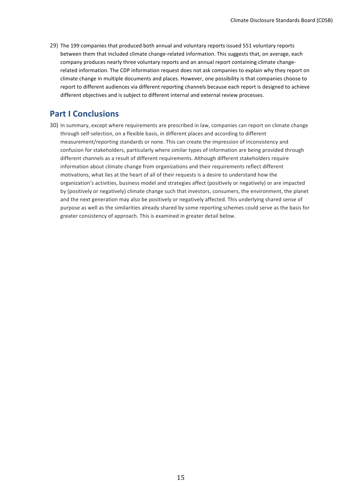29) The 199 companies that produced both annual and voluntary reports issued 551 voluntary reports between them that included climate change-related information. This suggests that, on average, each company produces nearly three voluntary reports and an annual report containing climate changerelated information. The CDP information request does not ask companies to explain why they report on climate change in multiple documents and places. However, one possibility is that companies choose to report to different audiences via different reporting channels because each report is designed to achieve different objectives and is subject to different internal and external review processes.

### **Part I Conclusions**

30) In summary, except where requirements are prescribed in law, companies can report on climate change through self-selection, on a flexible basis, in different places and according to different measurement/reporting standards or none. This can create the impression of inconsistency and confusion for stakeholders, particularly where similar types of information are being provided through different channels as a result of different requirements. Although different stakeholders require information about climate change from organizations and their requirements reflect different motivations, what lies at the heart of all of their requests is a desire to understand how the organization's activities, business model and strategies affect (positively or negatively) or are impacted by (positively or negatively) climate change such that investors, consumers, the environment, the planet and the next generation may also be positively or negatively affected. This underlying shared sense of purpose as well as the similarities already shared by some reporting schemes could serve as the basis for greater consistency of approach. This is examined in greater detail below.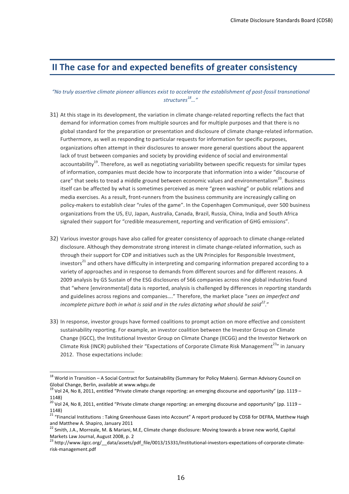### **II The case for and expected benefits of greater consistency**

### *"No,truly,assertive,climate,pioneer,alliances,exist,to,accelerate,the,establishment,of,post?fossil,transnational, structures18…"*

- 31) At this stage in its development, the variation in climate change-related reporting reflects the fact that demand for information comes from multiple sources and for multiple purposes and that there is no global standard for the preparation or presentation and disclosure of climate change-related information. Furthermore, as well as responding to particular requests for information for specific purposes, organizations often attempt in their disclosures to answer more general questions about the apparent lack of trust between companies and society by providing evidence of social and environmental accountability<sup>19</sup>. Therefore, as well as negotiating variability between specific requests for similar types of information, companies must decide how to incorporate that information into a wider "discourse of care" that seeks to tread a middle ground between economic values and environmentalism<sup>20</sup>. Business itself can be affected by what is sometimes perceived as mere "green washing" or public relations and media exercises. As a result, front-runners from the business community are increasingly calling on policy-makers to establish clear "rules of the game". In the Copenhagen Communiqué, over 500 business organizations from the US, EU, Japan, Australia, Canada, Brazil, Russia, China, India and South Africa signaled their support for "credible measurement, reporting and verification of GHG emissions".
- 32) Various investor groups have also called for greater consistency of approach to climate change-related disclosure. Although they demonstrate strong interest in climate change-related information, such as through their support for CDP and initiatives such as the UN Principles for Responsible Investment, investors<sup>21</sup> and others have difficulty in interpreting and comparing information prepared according to a variety of approaches and in response to demands from different sources and for different reasons. A 2009 analysis by GS Sustain of the ESG disclosures of 566 companies across nine global industries found that "where [environmental] data is reported, analysis is challenged by differences in reporting standards and guidelines across regions and companies...." Therefore, the market place "sees an imperfect and *incomplete picture both in what is said and in the rules dictating what should be said*<sup>22</sup>."
- 33) In response, investor groups have formed coalitions to prompt action on more effective and consistent sustainability reporting. For example, an investor coalition between the Investor Group on Climate Change (IGCC), the Institutional Investor Group on Climate Change (IICGG) and the Investor Network on Climate Risk (INCR) published their "Expectations of Corporate Climate Risk Management<sup>23</sup>" in January 2012. Those expectations include:

<sup>&</sup>lt;sup>18</sup> World in Transition - A Social Contract for Sustainability (Summary for Policy Makers). German Advisory Council on Global Change, Berlin, available at www.wbgu.de

<sup>&</sup>lt;sup>19</sup> Vol 24, No 8, 2011, entitled "Private climate change reporting: an emerging discourse and opportunity" (pp. 1119 – 1148)

 $20$  Vol 24, No 8, 2011, entitled "Private climate change reporting: an emerging discourse and opportunity" (pp. 1119 – 1148)

<sup>&</sup>lt;sup>21</sup> "Financial Institutions: Taking Greenhouse Gases into Account" A report produced by CDSB for DEFRA, Matthew Haigh and Matthew A. Shapiro, January 2011

<sup>&</sup>lt;sup>22</sup> Smith, J.A., Morreale, M. & Mariani, M.E, Climate change disclosure: Moving towards a brave new world, Capital Markets Law Journal, August 2008, p. 2

 $^{23}$ http://www.iigcc.org/\_data/assets/pdf\_file/0013/15331/Institutional-investors-expectations-of-corporate-climaterisk-management.pdf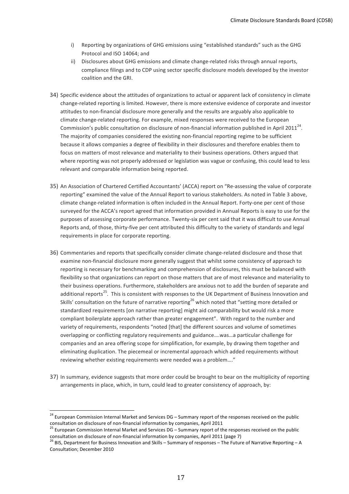- i) Reporting by organizations of GHG emissions using "established standards" such as the GHG Protocol and ISO 14064; and
- ii) Disclosures about GHG emissions and climate change-related risks through annual reports, compliance filings and to CDP using sector specific disclosure models developed by the investor coalition and the GRI.
- 34) Specific evidence about the attitudes of organizations to actual or apparent lack of consistency in climate change-related reporting is limited. However, there is more extensive evidence of corporate and investor attitudes to non-financial disclosure more generally and the results are arguably also applicable to climate change-related reporting. For example, mixed responses were received to the European Commission's public consultation on disclosure of non-financial information published in April 2011<sup>24</sup>. The majority of companies considered the existing non-financial reporting regime to be sufficient because it allows companies a degree of flexibility in their disclosures and therefore enables them to focus on matters of most relevance and materiality to their business operations. Others argued that where reporting was not properly addressed or legislation was vague or confusing, this could lead to less relevant and comparable information being reported.
- 35) An Association of Chartered Certified Accountants' (ACCA) report on "Re-assessing the value of corporate reporting" examined the value of the Annual Report to various stakeholders. As noted in Table 3 above, climate change-related information is often included in the Annual Report. Forty-one per cent of those surveyed for the ACCA's report agreed that information provided in Annual Reports is easy to use for the purposes of assessing corporate performance. Twenty-six per cent said that it was difficult to use Annual Reports and, of those, thirty-five per cent attributed this difficulty to the variety of standards and legal requirements in place for corporate reporting.
- 36) Commentaries and reports that specifically consider climate change-related disclosure and those that examine non-financial disclosure more generally suggest that whilst some consistency of approach to reporting is necessary for benchmarking and comprehension of disclosures, this must be balanced with flexibility so that organizations can report on those matters that are of most relevance and materiality to their business operations. Furthermore, stakeholders are anxious not to add the burden of separate and additional reports<sup>25</sup>. This is consistent with responses to the UK Department of Business Innovation and Skills' consultation on the future of narrative reporting<sup>26</sup> which noted that "setting more detailed or standardized requirements [on narrative reporting] might aid comparability but would risk a more compliant boilerplate approach rather than greater engagement". With regard to the number and variety of requirements, respondents "noted [that] the different sources and volume of sometimes overlapping or conflicting regulatory requirements and guidance....was...a particular challenge for companies and an area offering scope for simplification, for example, by drawing them together and eliminating duplication. The piecemeal or incremental approach which added requirements without reviewing whether existing requirements were needed was a problem...."
- 37) In summary, evidence suggests that more order could be brought to bear on the multiplicity of reporting arrangements in place, which, in turn, could lead to greater consistency of approach, by:

 $24$  European Commission Internal Market and Services DG – Summary report of the responses received on the public consultation on disclosure of non-financial information by companies, April 2011<br><sup>25</sup> European Commission Internal Market and Services DG – Summary report of the responses received on the public

consultation on disclosure of non-financial information by companies, April 2011 (page 7)  $^{26}$  BIS, Department for Business Innovation and Skills – Summary of responses – The Future of Narrative Reporting – A Consultation; December 2010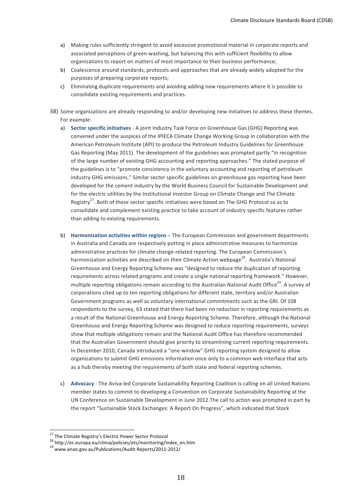- a) Making rules sufficiently stringent to avoid excessive promotional material in corporate reports and associated perceptions of green-washing, but balancing this with sufficient flexibility to allow organizations to report on matters of most importance to their business performance;
- b) Coalescence around standards, protocols and approaches that are already widely adopted for the purposes of preparing corporate reports;
- c) Eliminating duplicate requirements and avoiding adding new requirements where it is possible to consolidate existing requirements and practices.
- 38) Some organizations are already responding to and/or developing new initiatives to address these themes. For example:
	- a) **Sector specific initiatives** A joint Industry Task Force on Greenhouse Gas (GHG) Reporting was convened under the auspices of the IPIECA Climate Change Working Group in collaboration with the American Petroleum Institute (API) to produce the Petroleum Industry Guidelines for Greenhouse Gas Reporting (May 2011). The development of the guidelines was prompted partly "in recognition of the large number of existing GHG accounting and reporting approaches." The stated purpose of the guidelines is to "promote consistency in the voluntary accounting and reporting of petroleum industry GHG emissions." Similar sector specific guidelines on greenhouse gas reporting have been developed for the cement industry by the World Business Council for Sustainable Development and for the electric utilities by the Institutional Investor Group on Climate Change and The Climate Registry<sup>27</sup>. Both of these sector specific initiatives were based on The GHG Protocol so as to consolidate and complement existing practice to take account of industry specific features rather than adding to existing requirements.
	- b) **Harmonization activities within regions** The European Commission and government departments in Australia and Canada are respectively putting in place administrative measures to harmonize administrative practices for climate change-related reporting. The European Commission's harmonization activities are described on their Climate Action webpage<sup>28</sup>. Australia's National Greenhouse and Energy Reporting Scheme was "designed to reduce the duplication of reporting requirements across related programs and create a single national reporting framework." However, multiple reporting obligations remain according to the Australian National Audit Office<sup>29</sup>. A survey of corporations cited up to ten reporting obligations for different state, territory and/or Australian Government programs as well as voluntary international commitments such as the GRI. Of 108 respondents to the survey, 63 stated that there had been no reduction in reporting requirements as a result of the National Greenhouse and Energy Reporting Scheme. Therefore, although the National Greenhouse and Energy Reporting Scheme was designed to reduce reporting requirements, surveys show that multiple obligations remain and the National Audit Office has therefore recommended that the Australian Government should give priority to streamlining current reporting requirements. In December 2010, Canada introduced a "one-window" GHG reporting system designed to allow organizations to submit GHG emissions information once only to a common web interface that acts as a hub thereby meeting the requirements of both state and federal reporting schemes.
	- c) Advocacy The Aviva-led Corporate Sustainability Reporting Coalition is calling on all United Nations member states to commit to developing a Convention on Corporate Sustainability Reporting at the UN Conference on Sustainable Development in June 2012.The call to action was prompted in part by the report "Sustainable Stock Exchanges: A Report On Progress", which indicated that Stock

<sup>&</sup>lt;sup>27</sup> The Climate Registry's Electric Power Sector Protocol<br><sup>28</sup> http://ec.europa.eu/clima/policies/ets/monitoring/index\_en.htm<br><sup>29</sup> www.anao.gov.au/Publications/Audit-Reports/2011-2012/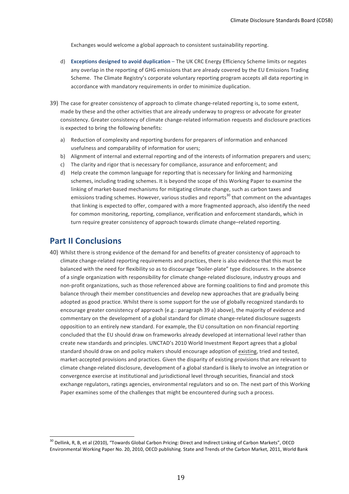Exchanges would welcome a global approach to consistent sustainability reporting.

- d) **Exceptions designed to avoid duplication** The UK CRC Energy Efficiency Scheme limits or negates any overlap in the reporting of GHG emissions that are already covered by the EU Emissions Trading Scheme. The Climate Registry's corporate voluntary reporting program accepts all data reporting in accordance with mandatory requirements in order to minimize duplication.
- 39) The case for greater consistency of approach to climate change-related reporting is, to some extent, made by these and the other activities that are already underway to progress or advocate for greater consistency. Greater consistency of climate change-related information requests and disclosure practices is expected to bring the following benefits:
	- a) Reduction of complexity and reporting burdens for preparers of information and enhanced usefulness and comparability of information for users;
	- b) Alignment of internal and external reporting and of the interests of information preparers and users;
	- c) The clarity and rigor that is necessary for compliance, assurance and enforcement; and
	- d) Help create the common language for reporting that is necessary for linking and harmonizing schemes, including trading schemes. It is beyond the scope of this Working Paper to examine the linking of market-based mechanisms for mitigating climate change, such as carbon taxes and emissions trading schemes. However, various studies and reports<sup>30</sup> that comment on the advantages that linking is expected to offer, compared with a more fragmented approach, also identify the need for common monitoring, reporting, compliance, verification and enforcement standards, which in turn require greater consistency of approach towards climate change–related reporting.

### **Part II Conclusions**

40) Whilst there is strong evidence of the demand for and benefits of greater consistency of approach to climate change-related reporting requirements and practices, there is also evidence that this must be balanced with the need for flexibility so as to discourage "boiler-plate" type disclosures. In the absence of a single organization with responsibility for climate change-related disclosure, industry groups and non-profit organizations, such as those referenced above are forming coalitions to find and promote this balance through their member constituencies and develop new approaches that are gradually being adopted as good practice. Whilst there is some support for the use of globally recognized standards to encourage greater consistency of approach (e.g.: paragraph 39 a) above), the majority of evidence and commentary on the development of a global standard for climate change-related disclosure suggests opposition to an entirely new standard. For example, the EU consultation on non-financial reporting concluded that the EU should draw on frameworks already developed at international level rather than create new standards and principles. UNCTAD's 2010 World Investment Report agrees that a global standard should draw on and policy makers should encourage adoption of existing, tried and tested, market-accepted provisions and practices. Given the disparity of existing provisions that are relevant to climate change-related disclosure, development of a global standard is likely to involve an integration or convergence exercise at institutional and jurisdictional level through securities, financial and stock exchange regulators, ratings agencies, environmental regulators and so on. The next part of this Working Paper examines some of the challenges that might be encountered during such a process.

<sup>&</sup>lt;sup>30</sup> Dellink, R, B, et al (2010), "Towards Global Carbon Pricing: Direct and Indirect Linking of Carbon Markets", OECD Environmental Working Paper No. 20, 2010, OECD publishing. State and Trends of the Carbon Market, 2011, World Bank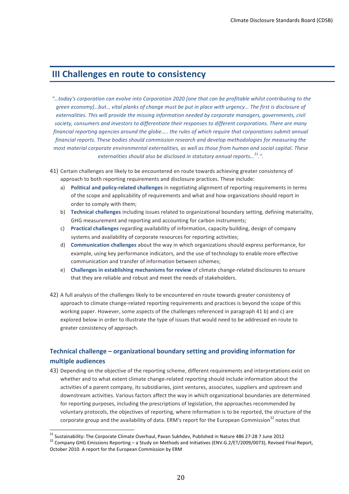### **III Challenges en route to consistency**

- *"…today's,corporation,can,evolve,into,Corporation,2020 [one,that,can,be,profitable,whilst,contributing,to,the, green economyl…but…, vital planks of change must be put in place with urgency… The first is disclosure of externalities. This will provide the missing information needed by corporate managers, governments, civil* society, consumers and investors to differentiate their responses to different corporations. There are many *financial reporting agencies around the globe…..,the rules of which require that corporations submit annual financial reports. These bodies should commission research and develop methodologies for measuring the most,material,corporate,environmental,externalities,,as,well,as those,from,human,and,social,capital.,These, externalities should also be disclosed in statutory annual reports...*<sup>31</sup>.".
- 41) Certain challenges are likely to be encountered en route towards achieving greater consistency of approach to both reporting requirements and disclosure practices. These include:
	- a) **Political and policy-related challenges** in negotiating alignment of reporting requirements in terms of the scope and applicability of requirements and what and how organizations should report in order to comply with them;
	- b) **Technical challenges** including issues related to organizational boundary setting, defining materiality, GHG measurement and reporting and accounting for carbon instruments;
	- c) **Practical challenges** regarding availability of information, capacity building, design of company systems and availability of corporate resources for reporting activities;
	- d) **Communication challenges** about the way in which organizations should express performance, for example, using key performance indicators, and the use of technology to enable more effective communication and transfer of information between schemes;
	- e) **Challenges in establishing mechanisms for review** of climate change-related disclosures to ensure that they are reliable and robust and meet the needs of stakeholders.
- 42) A full analysis of the challenges likely to be encountered en route towards greater consistency of approach to climate change-related reporting requirements and practices is beyond the scope of this working paper. However, some aspects of the challenges referenced in paragraph 41 b) and c) are explored below in order to illustrate the type of issues that would need to be addressed en route to greater consistency of approach.

### **Technical challenge – organizational boundary setting and providing information for multiple\$audiences**

43) Depending on the objective of the reporting scheme, different requirements and interpretations exist on whether and to what extent climate change-related reporting should include information about the activities of a parent company, its subsidiaries, joint ventures, associates, suppliers and upstream and downstream activities. Various factors affect the way in which organizational boundaries are determined for reporting purposes, including the prescriptions of legislation, the approaches recommended by voluntary protocols, the objectives of reporting, where information is to be reported, the structure of the corporate group and the availability of data. ERM's report for the European Commission<sup>32</sup> notes that

<sup>&</sup>lt;sup>31</sup> Sustainability: The Corporate Climate Overhaul, Pavan Sukhdev, Published in Nature 486 27-28 7 June 2012<br><sup>32</sup> Company GHG Emissions Reporting – a Study on Methods and Initiatives (ENV.G.2/ET/2009/0073), Revised Final October 2010. A report for the European Commission by ERM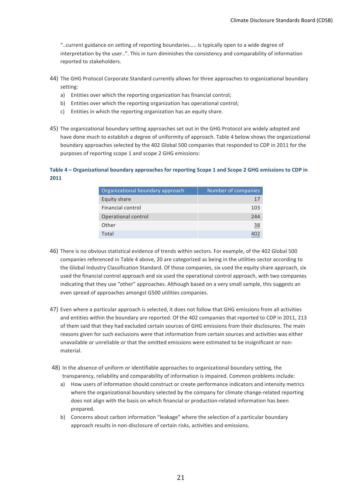"..current guidance on setting of reporting boundaries..... is typically open to a wide degree of interpretation by the user..". This in turn diminishes the consistency and comparability of information reported to stakeholders.

- 44) The GHG Protocol Corporate Standard currently allows for three approaches to organizational boundary setting:
	- a) Entities over which the reporting organization has financial control;
	- b) Entities over which the reporting organization has operational control;
	- c) Entities in which the reporting organization has an equity share.
- 45) The organizational boundary setting approaches set out in the GHG Protocol are widely adopted and have done much to establish a degree of uniformity of approach. Table 4 below shows the organizational boundary approaches selected by the 402 Global 500 companies that responded to CDP in 2011 for the purposes of reporting scope 1 and scope 2 GHG emissions:

### Table 4 – Organizational boundary approaches for reporting Scope 1 and Scope 2 GHG emissions to CDP in **2011**

| Organizational boundary approach | Number of companies |
|----------------------------------|---------------------|
| Equity share                     | 17                  |
| Financial control                | 103                 |
| Operational control              | 244                 |
| Other                            | 38                  |
| Total                            |                     |

- 46) There is no obvious statistical evidence of trends within sectors. For example, of the 402 Global 500 companies referenced in Table 4 above, 20 are categorized as being in the utilities sector according to the Global Industry Classification Standard. Of those companies, six used the equity share approach, six used the financial control approach and six used the operational control approach, with two companies indicating that they use "other" approaches. Although based on a very small sample, this suggests an even spread of approaches amongst G500 utilities companies.
- 47) Even where a particular approach is selected, it does not follow that GHG emissions from all activities and entities within the boundary are reported. Of the 402 companies that reported to CDP in 2011, 213 of them said that they had excluded certain sources of GHG emissions from their disclosures. The main reasons given for such exclusions were that information from certain sources and activities was either unavailable or unreliable or that the omitted emissions were estimated to be insignificant or nonmaterial.
- 48) In the absence of uniform or identifiable approaches to organizational boundary setting, the transparency, reliability and comparability of information is impaired. Common problems include:
	- a) How users of information should construct or create performance indicators and intensity metrics where the organizational boundary selected by the company for climate change-related reporting does not align with the basis on which financial or production-related information has been prepared.
	- b) Concerns about carbon information "leakage" where the selection of a particular boundary approach results in non-disclosure of certain risks, activities and emissions.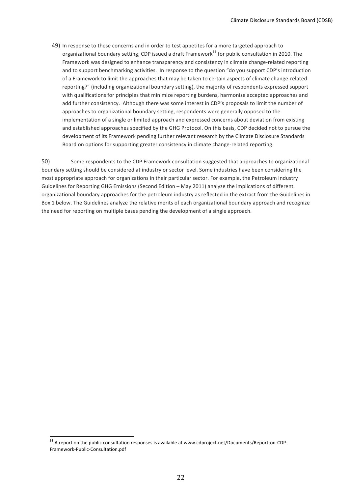49) In response to these concerns and in order to test appetites for a more targeted approach to organizational boundary setting, CDP issued a draft Framework<sup>33</sup> for public consultation in 2010. The Framework was designed to enhance transparency and consistency in climate change-related reporting and to support benchmarking activities. In response to the question "do you support CDP's introduction of a Framework to limit the approaches that may be taken to certain aspects of climate change-related reporting?" (including organizational boundary setting), the majority of respondents expressed support with qualifications for principles that minimize reporting burdens, harmonize accepted approaches and add further consistency. Although there was some interest in CDP's proposals to limit the number of approaches to organizational boundary setting, respondents were generally opposed to the implementation of a single or limited approach and expressed concerns about deviation from existing and established approaches specified by the GHG Protocol. On this basis, CDP decided not to pursue the development of its Framework pending further relevant research by the Climate Disclosure Standards Board on options for supporting greater consistency in climate change-related reporting.

50) Some respondents to the CDP Framework consultation suggested that approaches to organizational boundary setting should be considered at industry or sector level. Some industries have been considering the most appropriate approach for organizations in their particular sector. For example, the Petroleum Industry Guidelines for Reporting GHG Emissions (Second Edition – May 2011) analyze the implications of different organizational boundary approaches for the petroleum industry as reflected in the extract from the Guidelines in Box 1 below. The Guidelines analyze the relative merits of each organizational boundary approach and recognize the need for reporting on multiple bases pending the development of a single approach.

<sup>&</sup>lt;sup>33</sup> A report on the public consultation responses is available at www.cdproject.net/Documents/Report-on-CDP-Framework-Public-Consultation.pdf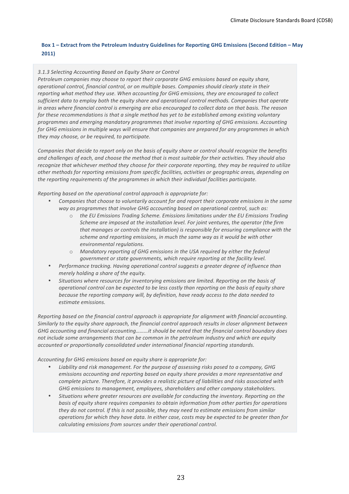### **Box 1 – Extract from the Petroleum Industry Guidelines for Reporting GHG Emissions (Second Edition – May 2011)**

### *3.1.3,Selecting,Accounting,Based,on,Equity,Share,or,Control*

Petroleum companies may choose to report their corporate GHG emissions based on equity share,  $o$ *perational control, financial control, or on multiple bases. Companies should clearly state in their* reporting what method they use. When accounting for GHG emissions, they are encouraged to collect *sufficient data to employ both the equity share and operational control methods. Companies that operate in areas where financial control is emerging are also encouraged to collect data on that basis. The reason for these recommendations is that a single method has yet to be established among existing voluntary programmes,and,emerging,mandatory,programmes,that,involve,reporting,of,GHG,emissions.,Accounting, for GHG emissions in multiple ways will ensure that companies are prepared for any programmes in which they,may,choose,,or,be,required,,to,participate.*

*Companies that decide to report only on the basis of equity share or control should recognize the benefits and,challenges,of,each,,and,choose,the,method,that,is,most,suitable,for,their,activities.,They,should,also, recognize,that whichever method they choose for their corporate reporting, they may be required to utilize other,methods,for,reporting,emissions,from,specific,facilities,,activities,or,geographic,areas,,depending,on,* the reporting requirements of the programmes in which their individual facilities participate.

*Reporting,based,on,the,operational,control,approach,is,appropriate.for:* 

- Companies that choose to voluntarily account for and report their corporate emissions in the same way as programmes that involve GHG accounting based on operational control, such as:
	- o *the,EU,Emissions,Trading,Scheme.,Emissions,limitations,under,the,EU,Emissions,Trading, Scheme are imposed at the installation level. For joint ventures, the operator (the firm* that manages or controls the installation) is responsible for ensuring compliance with the *scheme, and reporting emissions, in much the same way as it would be with other*  $environmental\, regulations.$
	- o *Mandatory reporting of GHG emissions in the USA required by either the federal government or state governments, which require reporting at the facility level.*
- Performance tracking. Having operational control suggests a greater degree of influence than *merely holding a share of the equity.*
- *Situations,where,resources,for,inventorying,emissions,are,limited.,Reporting,on,the,basis,of, operational,control,can,be,expected,to,be,less,costly,than,reporting,on,the,basis,of,equity,share,* because the reporting company will, by definition, have ready access to the data needed to *estimate,emissions.*

*Reporting,based,on,the,financial,control,approach,is,appropriate,for,alignment,with,financial,accounting., Similarly to the equity share approach, the financial control approach results in closer alignment between* GHG accounting and financial accounting………it should be noted that the financial control boundary does not include some arrangements that can be common in the petroleum industry and which are equity *accounted,or,proportionally,consolidated,under,international,financial,reporting,standards.*

Accounting for GHG emissions based on equity share is appropriate for:

- Liability and risk management. For the purpose of assessing risks posed to a company, GHG *emissions,accounting,and,reporting,based,on,equity,share,provides,a,more,representative,and, complete picture. Therefore, it provides a realistic picture of liabilities and risks associated with GHG emissions to management, employees, shareholders and other company stakeholders.*
- Situations where greater resources are available for conducting the inventory. Reporting on the basis of equity share requires companies to obtain information from other parties for operations *they,do,not,control.,If,this,is,not,possible,,they,may,need,to,estimate,emissions,from,similar, operations,for,which,they,have,data.,In,either,case,,costs,may,be,expected,to,be,greater,than,for, calculating emissions from sources under their operational control.*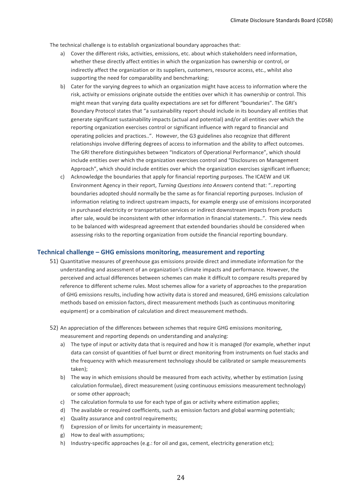The technical challenge is to establish organizational boundary approaches that:

- a) Cover the different risks, activities, emissions, etc. about which stakeholders need information, whether these directly affect entities in which the organization has ownership or control, or indirectly affect the organization or its suppliers, customers, resource access, etc., whilst also supporting the need for comparability and benchmarking;
- b) Cater for the varying degrees to which an organization might have access to information where the risk, activity or emissions originate outside the entities over which it has ownership or control. This might mean that varying data quality expectations are set for different "boundaries". The GRI's Boundary Protocol states that "a sustainability report should include in its boundary all entities that generate significant sustainability impacts (actual and potential) and/or all entities over which the reporting organization exercises control or significant influence with regard to financial and operating policies and practices..". However, the G3 guidelines also recognize that different relationships involve differing degrees of access to information and the ability to affect outcomes. The GRI therefore distinguishes between "Indicators of Operational Performance", which should include entities over which the organization exercises control and "Disclosures on Management Approach", which should include entities over which the organization exercises significant influence;
- c) Acknowledge the boundaries that apply for financial reporting purposes. The ICAEW and UK Environment Agency in their report, *Turning Questions into Answers* contend that: "..reporting boundaries adopted should normally be the same as for financial reporting purposes. Inclusion of information relating to indirect upstream impacts, for example energy use of emissions incorporated in purchased electricity or transportation services or indirect downstream impacts from products after sale, would be inconsistent with other information in financial statements..". This view needs to be balanced with widespread agreement that extended boundaries should be considered when assessing risks to the reporting organization from outside the financial reporting boundary.

#### **Technical challenge – GHG emissions monitoring, measurement and reporting**

- 51) Quantitative measures of greenhouse gas emissions provide direct and immediate information for the understanding and assessment of an organization's climate impacts and performance. However, the perceived and actual differences between schemes can make it difficult to compare results prepared by reference to different scheme rules. Most schemes allow for a variety of approaches to the preparation of GHG emissions results, including how activity data is stored and measured, GHG emissions calculation methods based on emission factors, direct measurement methods (such as continuous monitoring equipment) or a combination of calculation and direct measurement methods.
- 52) An appreciation of the differences between schemes that require GHG emissions monitoring, measurement and reporting depends on understanding and analyzing:
	- a) The type of input or activity data that is required and how it is managed (for example, whether input data can consist of quantities of fuel burnt or direct monitoring from instruments on fuel stacks and the frequency with which measurement technology should be calibrated or sample measurements taken);
	- b) The way in which emissions should be measured from each activity, whether by estimation (using) calculation formulae), direct measurement (using continuous emissions measurement technology) or some other approach;
	- c) The calculation formula to use for each type of gas or activity where estimation applies;
	- d) The available or required coefficients, such as emission factors and global warming potentials;
	- e) Quality assurance and control requirements;
	- f) Expression of or limits for uncertainty in measurement;
	- g) How to deal with assumptions;
	- h) Industry-specific approaches (e.g.: for oil and gas, cement, electricity generation etc);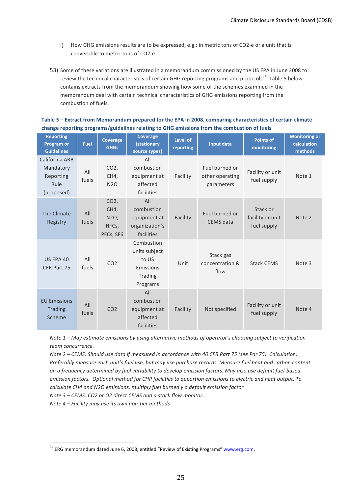- i) How GHG emissions results are to be expressed, e.g.: in metric tons of CO2-e or a unit that is convertible to metric tons of CO2-e.
- 53) Some of these variations are illustrated in a memorandum commissioned by the US EPA in June 2008 to review the technical characteristics of certain GHG reporting programs and protocols<sup>34</sup>. Table 5 below contains extracts from the memorandum showing how some of the schemes examined in the memorandum deal with certain technical characteristics of GHG emissions reporting from the combustion of fuels.

| Table 5 – Extract from Memorandum prepared for the EPA in 2008, comparing characteristics of certain climate |
|--------------------------------------------------------------------------------------------------------------|
| change reporting programs/guidelines relating to GHG emissions from the combustion of fuels                  |

| <b>Reporting</b><br><b>Program or</b><br><b>Guidelines</b>     | <b>Fuel</b>  | Coverage<br><b>GHGs</b>                       | Coverage<br><b>(stationary</b><br>source types)                          | Level of<br>reporting | Input data                                      | <b>Points of</b><br>monitoring              | <b>Monitoring or</b><br>calculation<br>methods |
|----------------------------------------------------------------|--------------|-----------------------------------------------|--------------------------------------------------------------------------|-----------------------|-------------------------------------------------|---------------------------------------------|------------------------------------------------|
| California ARB<br>Mandatory<br>Reporting<br>Rule<br>(proposed) | All<br>fuels | CO <sub>2</sub><br>CH4,<br><b>N2O</b>         | All<br>combustion<br>equipment at<br>affected<br>facilities              | Facility              | Fuel burned or<br>other operating<br>parameters | Facility or unit<br>fuel supply             | Note 1                                         |
| The Climate<br>Registry                                        | All<br>fuels | $CO2$ ,<br>CH4,<br>N2O,<br>HFCs,<br>PFCs, SF6 | All<br>combustion<br>equipment at<br>organization's<br>facilities        | Facility              | Fuel burned or<br>CEMS data                     | Stack or<br>facility or unit<br>fuel supply | Note 2                                         |
| US EPA 40<br>CFR Part 75                                       | All<br>fuels | CO <sub>2</sub>                               | Combustion<br>units subject<br>to US<br>Emissions<br>Trading<br>Programs | Unit                  | Stack gas<br>concentration &<br>flow            | <b>Stack CEMS</b>                           | Note 3                                         |
| <b>EU Emissions</b><br><b>Trading</b><br>Scheme                | All<br>fuels | CO <sub>2</sub>                               | All<br>combustion<br>equipment at<br>affected<br>facilities              | Facility              | Not specified                                   | Facility or unit<br>fuel supply             | Note 4                                         |

*Note,1* – *May estimate emissions by using alternative methods of operator's choosing subject to verification team,concurrence.*

*Note 2 – CEMS: Should use data if measured in accordance with 40 CFR Part 75 (see Par 75). Calculation:* Preferably measure each unit's fuel use, but may use purchase records. Measure fuel heat and carbon content *on,a,frequency,determined,by,fuel,variability,to,develop,emission,factors.,May,also,use,default,fuel?based, emission,factors.,,Optional,method,for,CHP,facilities,to,apportion,emissions,to,electric and,heat,output.,To, calculate CH4,and,N2O,emissions,,multiply,fuel,burned,y,a,default,emission,factor.,*

*Note 3 – CEMS: CO2 or O2 direct CEMS and a stack flow monitor.* 

*Note 4 – Facility may use its own non-tier methods.* 

<sup>&</sup>lt;sup>34</sup> ERG memorandum dated June 6, 2008, entitled "Review of Existing Programs" www.erg.com.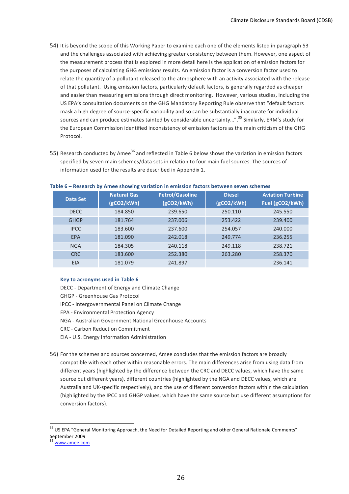- 54) It is beyond the scope of this Working Paper to examine each one of the elements listed in paragraph 53 and the challenges associated with achieving greater consistency between them. However, one aspect of the measurement process that is explored in more detail here is the application of emission factors for the purposes of calculating GHG emissions results. An emission factor is a conversion factor used to relate the quantity of a pollutant released to the atmosphere with an activity associated with the release of that pollutant. Using emission factors, particularly default factors, is generally regarded as cheaper and easier than measuring emissions through direct monitoring. However, various studies, including the US EPA's consultation documents on the GHG Mandatory Reporting Rule observe that "default factors mask a high degree of source-specific variability and so can be substantially inaccurate for individual sources and can produce estimates tainted by considerable uncertainty…".<sup>35</sup> Similarly, ERM's study for the European Commission identified inconsistency of emission factors as the main criticism of the GHG Protocol.
- 55) Research conducted by Amee<sup>36</sup> and reflected in Table 6 below shows the variation in emission factors specified by seven main schemes/data sets in relation to four main fuel sources. The sources of information used for the results are described in Appendix 1.

|             | <b>Natural Gas</b> | <b>Petrol/Gasoline</b> | <b>Diesel</b> | <b>Aviation Turbine</b> |
|-------------|--------------------|------------------------|---------------|-------------------------|
| Data Set    | (gCO2/kWh)         | (gCO2/kWh)             | (gCO2/kWh)    | Fuel (gCO2/kWh)         |
| <b>DECC</b> | 184.850            | 239.650                | 250.110       | 245.550                 |
| <b>GHGP</b> | 181.764            | 237.006                | 253.422       | 239,400                 |
| <b>IPCC</b> | 183.600            | 237.600                | 254.057       | 240,000                 |
| EPA         | 181.090            | 242.018                | 249.774       | 236.255                 |
| <b>NGA</b>  | 184.305            | 240.118                | 249.118       | 238.721                 |
| <b>CRC</b>  | 183.600            | 252.380                | 263.280       | 258.370                 |
| EIA         | 181.079            | 241.897                |               | 236.141                 |

#### Table 6 – Research by Amee showing variation in emission factors between seven schemes

#### **Key to acronyms used in Table 6**

DECC - Department of Energy and Climate Change

- GHGP Greenhouse Gas Protocol
- IPCC Intergovernmental Panel on Climate Change
- EPA Environmental Protection Agency
- NGA Australian Government National Greenhouse Accounts
- CRC Carbon Reduction Commitment
- EIA U.S. Energy Information Administration
- 56) For the schemes and sources concerned, Amee concludes that the emission factors are broadly compatible with each other within reasonable errors. The main differences arise from using data from different years (highlighted by the difference between the CRC and DECC values, which have the same source but different years), different countries (highlighted by the NGA and DECC values, which are Australia and UK-specific respectively), and the use of different conversion factors within the calculation (highlighted by the IPCC and GHGP values, which have the same source but use different assumptions for conversion factors).

<sup>&</sup>lt;sup>35</sup> US EPA "General Monitoring Approach, the Need for Detailed Reporting and other General Rationale Comments" September 2009

www.amee.com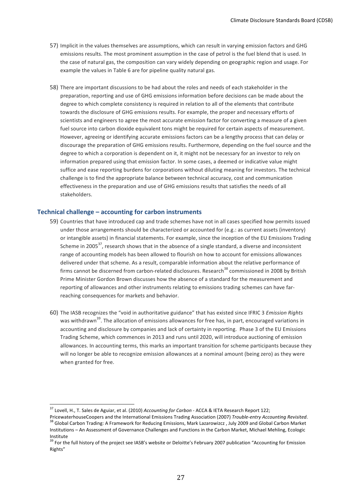- 57) Implicit in the values themselves are assumptions, which can result in varying emission factors and GHG emissions results. The most prominent assumption in the case of petrol is the fuel blend that is used. In the case of natural gas, the composition can vary widely depending on geographic region and usage. For example the values in Table 6 are for pipeline quality natural gas.
- 58) There are important discussions to be had about the roles and needs of each stakeholder in the preparation, reporting and use of GHG emissions information before decisions can be made about the degree to which complete consistency is required in relation to all of the elements that contribute towards the disclosure of GHG emissions results. For example, the proper and necessary efforts of scientists and engineers to agree the most accurate emission factor for converting a measure of a given fuel source into carbon dioxide equivalent tons might be required for certain aspects of measurement. However, agreeing or identifying accurate emissions factors can be a lengthy process that can delay or discourage the preparation of GHG emissions results. Furthermore, depending on the fuel source and the degree to which a corporation is dependent on it, it might not be necessary for an investor to rely on information prepared using that emission factor. In some cases, a deemed or indicative value might suffice and ease reporting burdens for corporations without diluting meaning for investors. The technical challenge is to find the appropriate balance between technical accuracy, cost and communication effectiveness in the preparation and use of GHG emissions results that satisfies the needs of all stakeholders.

### **Technical challenge – accounting for carbon instruments**

- 59) Countries that have introduced cap and trade schemes have not in all cases specified how permits issued under those arrangements should be characterized or accounted for (e.g.: as current assets (inventory) or intangible assets) in financial statements. For example, since the inception of the EU Emissions Trading Scheme in 2005<sup>37</sup>, research shows that in the absence of a single standard, a diverse and inconsistent range of accounting models has been allowed to flourish on how to account for emissions allowances delivered under that scheme. As a result, comparable information about the relative performance of firms cannot be discerned from carbon-related disclosures. Research<sup>38</sup> commissioned in 2008 by British Prime Minister Gordon Brown discusses how the absence of a standard for the measurement and reporting of allowances and other instruments relating to emissions trading schemes can have farreaching consequences for markets and behavior.
- 60) The IASB recognizes the "void in authoritative guidance" that has existed since IFRIC 3 *Emission Rights* was withdrawn<sup>39</sup>. The allocation of emissions allowances for free has, in part, encouraged variations in accounting and disclosure by companies and lack of certainty in reporting. Phase 3 of the EU Emissions Trading Scheme, which commences in 2013 and runs until 2020, will introduce auctioning of emission allowances. In accounting terms, this marks an important transition for scheme participants because they will no longer be able to recognize emission allowances at a nominal amount (being zero) as they were when granted for free.

<sup>&</sup>lt;sup>37</sup> Lovell, H., T. Sales de Aguiar, et al. (2010) Accounting for Carbon - ACCA & IETA Research Report 122;

PricewaterhouseCoopers and the International Emissions Trading Association (2007) Trouble-entry Accounting Revisited.<br><sup>38</sup> Global Carbon Trading: A Framework for Reducing Emissions, Mark Lazarowizcz , July 2009 and Global Institutions – An Assessment of Governance Challenges and Functions in the Carbon Market, Michael Mehling, Ecologic Institute

<sup>&</sup>lt;sup>39</sup> For the full history of the project see IASB's website or Deloitte's February 2007 publication "Accounting for Emission Rights"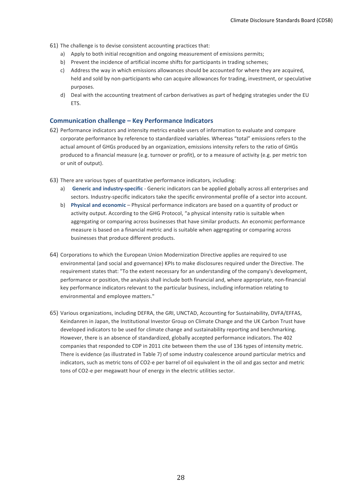- 61) The challenge is to devise consistent accounting practices that:
	- a) Apply to both initial recognition and ongoing measurement of emissions permits;
	- b) Prevent the incidence of artificial income shifts for participants in trading schemes;
	- c) Address the way in which emissions allowances should be accounted for where they are acquired, held and sold by non-participants who can acquire allowances for trading, investment, or speculative purposes.
	- d) Deal with the accounting treatment of carbon derivatives as part of hedging strategies under the EU ETS.

#### **Communication challenge – Key Performance Indicators**

- 62) Performance indicators and intensity metrics enable users of information to evaluate and compare corporate performance by reference to standardized variables. Whereas "total" emissions refers to the actual amount of GHGs produced by an organization, emissions intensity refers to the ratio of GHGs produced to a financial measure (e.g. turnover or profit), or to a measure of activity (e.g. per metric ton or unit of output).
- 63) There are various types of quantitative performance indicators, including:
	- a) Generic and industry-specific Generic indicators can be applied globally across all enterprises and sectors. Industry-specific indicators take the specific environmental profile of a sector into account.
	- b) Physical and economic Physical performance indicators are based on a quantity of product or activity output. According to the GHG Protocol, "a physical intensity ratio is suitable when aggregating or comparing across businesses that have similar products. An economic performance measure is based on a financial metric and is suitable when aggregating or comparing across businesses that produce different products.
- 64) Corporations to which the European Union Modernization Directive applies are required to use environmental (and social and governance) KPIs to make disclosures required under the Directive. The requirement states that: "To the extent necessary for an understanding of the company's development, performance or position, the analysis shall include both financial and, where appropriate, non-financial key performance indicators relevant to the particular business, including information relating to environmental and employee matters."
- 65) Various organizations, including DEFRA, the GRI, UNCTAD, Accounting for Sustainability, DVFA/EFFAS, Keindanren in Japan, the Institutional Investor Group on Climate Change and the UK Carbon Trust have developed indicators to be used for climate change and sustainability reporting and benchmarking. However, there is an absence of standardized, globally accepted performance indicators. The 402 companies that responded to CDP in 2011 cite between them the use of 136 types of intensity metric. There is evidence (as illustrated in Table 7) of some industry coalescence around particular metrics and indicators, such as metric tons of CO2-e per barrel of oil equivalent in the oil and gas sector and metric tons of CO2-e per megawatt hour of energy in the electric utilities sector.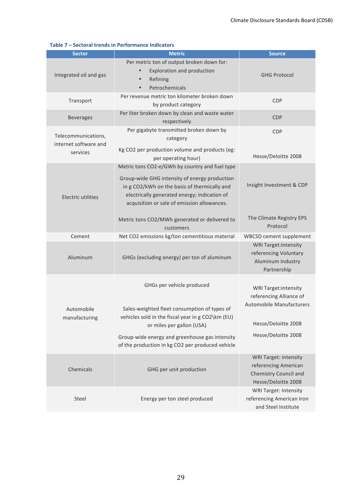| <b>Sector</b>                                            | <b>Metric</b>                                                                                                                                                                                                                                                         | <b>Source</b>                                                                                                    |
|----------------------------------------------------------|-----------------------------------------------------------------------------------------------------------------------------------------------------------------------------------------------------------------------------------------------------------------------|------------------------------------------------------------------------------------------------------------------|
| Integrated oil and gas                                   | Per metric ton of output broken down for:<br><b>Exploration and production</b><br>$\bullet$<br>Refining<br>Petrochemicals                                                                                                                                             | <b>GHG Protocol</b>                                                                                              |
| Transport                                                | Per revenue metric ton kilometer broken down<br>by product category                                                                                                                                                                                                   | <b>CDP</b>                                                                                                       |
| <b>Beverages</b>                                         | Per liter broken down by clean and waste water<br>respectively                                                                                                                                                                                                        | <b>CDP</b>                                                                                                       |
| Telecommunications,<br>internet software and<br>services | Per gigabyte transmitted broken down by<br>category<br>Kg CO2 per production volume and products (eg:                                                                                                                                                                 | CDP                                                                                                              |
| <b>Electric utilities</b>                                | per operating hour)<br>Metric tons CO2-e/GWh by country and fuel type<br>Group-wide GHG intensity of energy production<br>in g CO2/kWh on the basis of thermically and<br>electrically generated energy; indication of<br>acquisition or sale of emission allowances. | Hesse/Deloitte 2008<br>Insight Investment & CDP                                                                  |
|                                                          | Metric tons CO2/MWh generated or delivered to<br>customers                                                                                                                                                                                                            | The Climate Registry EPS<br>Protocol                                                                             |
| Cement                                                   | Net CO2 emissions kg/ton cementitious material                                                                                                                                                                                                                        | <b>WBCSD cement supplement</b>                                                                                   |
| Aluminum                                                 | GHGs (excluding energy) per ton of aluminum                                                                                                                                                                                                                           | <b>WRI Target:intensity</b><br>referencing Voluntary<br>Aluminum Industry<br>Partnership                         |
| Automobile<br>manufacturing                              | GHGs per vehicle produced<br>Sales-weighted fleet consumption of types of<br>vehicles sold in the fiscal year in g CO2\km (EU)<br>or miles per gallon (USA)                                                                                                           | <b>WRI Target:intensity</b><br>referencing Alliance of<br><b>Automobile Manufacturers</b><br>Hesse/Deloitte 2008 |
|                                                          | Group-wide energy and greenhouse gas intensity<br>of the production in kg CO2 per produced vehicle                                                                                                                                                                    | Hesse/Deloitte 2008                                                                                              |
| Chemicals                                                | GHG per unit production                                                                                                                                                                                                                                               | <b>WRI Target: intensity</b><br>referencing American<br>Chemistry Council and<br>Hesse/Deloitte 2008             |
| Steel                                                    | Energy per ton steel produced                                                                                                                                                                                                                                         | <b>WRI Target: Intensity</b><br>referencing American Iron<br>and Steel Institute                                 |

### **Table 7 – Sectoral trends in Performance Indicators**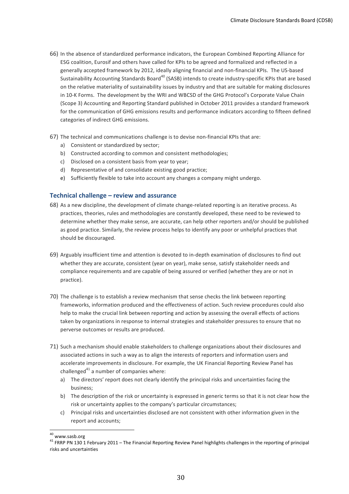- 66) In the absence of standardized performance indicators, the European Combined Reporting Alliance for ESG coalition, Eurosif and others have called for KPIs to be agreed and formalized and reflected in a generally accepted framework by 2012, ideally aligning financial and non-financial KPIs. The US-based Sustainability Accounting Standards Board<sup>40</sup> (SASB) intends to create industry-specific KPIs that are based on the relative materiality of sustainability issues by industry and that are suitable for making disclosures in 10-K Forms. The development by the WRI and WBCSD of the GHG Protocol's Corporate Value Chain (Scope 3) Accounting and Reporting Standard published in October 2011 provides a standard framework for the communication of GHG emissions results and performance indicators according to fifteen defined categories of indirect GHG emissions.
- 67) The technical and communications challenge is to devise non-financial KPIs that are:
	- a) Consistent or standardized by sector;
	- b) Constructed according to common and consistent methodologies;
	- c) Disclosed on a consistent basis from year to year;
	- d) Representative of and consolidate existing good practice;
	- e) Sufficiently flexible to take into account any changes a company might undergo.

### **Technical challenge – review and assurance**

- 68) As a new discipline, the development of climate change-related reporting is an iterative process. As practices, theories, rules and methodologies are constantly developed, these need to be reviewed to determine whether they make sense, are accurate, can help other reporters and/or should be published as good practice. Similarly, the review process helps to identify any poor or unhelpful practices that should be discouraged.
- 69) Arguably insufficient time and attention is devoted to in-depth examination of disclosures to find out whether they are accurate, consistent (year on year), make sense, satisfy stakeholder needs and compliance requirements and are capable of being assured or verified (whether they are or not in practice).
- 70) The challenge is to establish a review mechanism that sense checks the link between reporting frameworks, information produced and the effectiveness of action. Such review procedures could also help to make the crucial link between reporting and action by assessing the overall effects of actions taken by organizations in response to internal strategies and stakeholder pressures to ensure that no perverse outcomes or results are produced.
- 71) Such a mechanism should enable stakeholders to challenge organizations about their disclosures and associated actions in such a way as to align the interests of reporters and information users and accelerate improvements in disclosure. For example, the UK Financial Reporting Review Panel has challenged<sup>41</sup> a number of companies where:
	- a) The directors' report does not clearly identify the principal risks and uncertainties facing the business;
	- b) The description of the risk or uncertainty is expressed in generic terms so that it is not clear how the risk or uncertainty applies to the company's particular circumstances;
	- c) Principal risks and uncertainties disclosed are not consistent with other information given in the report and accounts;

<sup>&</sup>lt;sup>40</sup> www.sasb.org<br><sup>41</sup> FRRP PN 130 1 February 2011 – The Financial Reporting Review Panel highlights challenges in the reporting of principal risks and uncertainties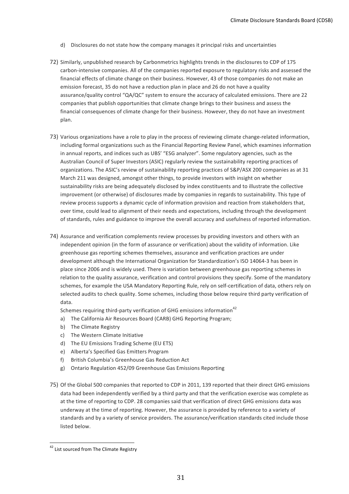- d) Disclosures do not state how the company manages it principal risks and uncertainties
- 72) Similarly, unpublished research by Carbonmetrics highlights trends in the disclosures to CDP of 175 carbon-intensive companies. All of the companies reported exposure to regulatory risks and assessed the financial effects of climate change on their business. However, 43 of those companies do not make an emission forecast, 35 do not have a reduction plan in place and 26 do not have a quality assurance/quality control "QA/QC" system to ensure the accuracy of calculated emissions. There are 22 companies that publish opportunities that climate change brings to their business and assess the financial consequences of climate change for their business. However, they do not have an investment plan.
- 73) Various organizations have a role to play in the process of reviewing climate change-related information, including formal organizations such as the Financial Reporting Review Panel, which examines information in annual reports, and indices such as UBS' "ESG analyzer". Some regulatory agencies, such as the Australian Council of Super Investors (ASIC) regularly review the sustainability reporting practices of organizations. The ASIC's review of sustainability reporting practices of S&P/ASX 200 companies as at 31 March 211 was designed, amongst other things, to provide investors with insight on whether sustainability risks are being adequately disclosed by index constituents and to illustrate the collective improvement (or otherwise) of disclosures made by companies in regards to sustainability. This type of review process supports a dynamic cycle of information provision and reaction from stakeholders that, over time, could lead to alignment of their needs and expectations, including through the development of standards, rules and guidance to improve the overall accuracy and usefulness of reported information.
- 74) Assurance and verification complements review processes by providing investors and others with an independent opinion (in the form of assurance or verification) about the validity of information. Like greenhouse gas reporting schemes themselves, assurance and verification practices are under development although the International Organization for Standardization's ISO 14064-3 has been in place since 2006 and is widely used. There is variation between greenhouse gas reporting schemes in relation to the quality assurance, verification and control provisions they specify. Some of the mandatory schemes, for example the USA Mandatory Reporting Rule, rely on self-certification of data, others rely on selected audits to check quality. Some schemes, including those below require third party verification of data.

Schemes requiring third-party verification of GHG emissions information<sup>42</sup>

- a) The California Air Resources Board (CARB) GHG Reporting Program;
- b) The Climate Registry
- c) The Western Climate Initiative
- d) The EU Emissions Trading Scheme (EU ETS)
- e) Alberta's Specified Gas Emitters Program
- f) British Columbia's Greenhouse Gas Reduction Act
- g) Ontario Regulation 452/09 Greenhouse Gas Emissions Reporting
- 75) Of the Global 500 companies that reported to CDP in 2011, 139 reported that their direct GHG emissions data had been independently verified by a third party and that the verification exercise was complete as at the time of reporting to CDP. 28 companies said that verification of direct GHG emissions data was underway at the time of reporting. However, the assurance is provided by reference to a variety of standards and by a variety of service providers. The assurance/verification standards cited include those listed below.

<sup>&</sup>lt;sup>42</sup> List sourced from The Climate Registry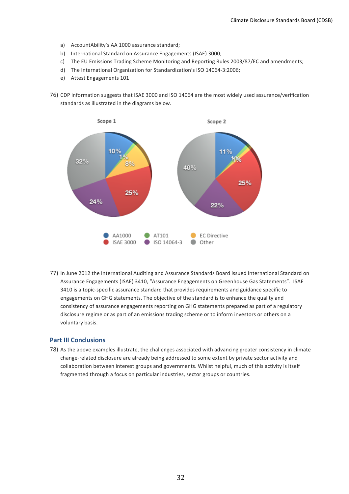- a) AccountAbility's AA 1000 assurance standard;
- b) International Standard on Assurance Engagements (ISAE) 3000;
- c) The EU Emissions Trading Scheme Monitoring and Reporting Rules 2003/87/EC and amendments;
- d) The International Organization for Standardization's ISO 14064-3:2006;
- e) Attest Engagements 101
- 76) CDP information suggests that ISAE 3000 and ISO 14064 are the most widely used assurance/verification standards as illustrated in the diagrams below.



77) In June 2012 the International Auditing and Assurance Standards Board issued International Standard on Assurance Engagements (ISAE) 3410, "Assurance Engagements on Greenhouse Gas Statements". ISAE 3410 is a topic-specific assurance standard that provides requirements and guidance specific to engagements on GHG statements. The objective of the standard is to enhance the quality and consistency of assurance engagements reporting on GHG statements prepared as part of a regulatory disclosure regime or as part of an emissions trading scheme or to inform investors or others on a voluntary basis.

### **Part III Conclusions**

78) As the above examples illustrate, the challenges associated with advancing greater consistency in climate change-related disclosure are already being addressed to some extent by private sector activity and collaboration between interest groups and governments. Whilst helpful, much of this activity is itself fragmented through a focus on particular industries, sector groups or countries.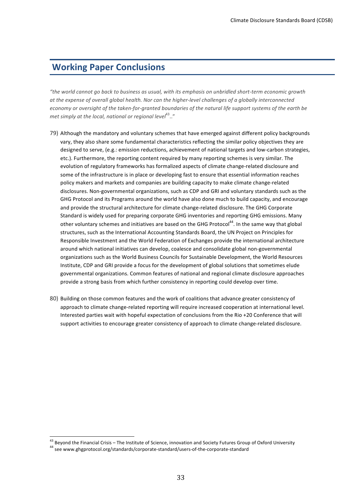### **Working Paper Conclusions**

*"the,world,cannot,go,back,to,business,as,usual,,with,its,emphasis,on,unbridled,short?term,economic,growth,* at the expense of overall global health. Nor can the higher-level challenges of a globally interconnected *economy or oversight of the taken-for-granted boundaries of the natural life support systems of the earth be* met simply at the local, national or regional level<sup>43</sup>.."

- 79) Although the mandatory and voluntary schemes that have emerged against different policy backgrounds vary, they also share some fundamental characteristics reflecting the similar policy objectives they are designed to serve, (e.g.: emission reductions, achievement of national targets and low-carbon strategies, etc.). Furthermore, the reporting content required by many reporting schemes is very similar. The evolution of regulatory frameworks has formalized aspects of climate change-related disclosure and some of the infrastructure is in place or developing fast to ensure that essential information reaches policy makers and markets and companies are building capacity to make climate change-related disclosures. Non-governmental organizations, such as CDP and GRI and voluntary standards such as the GHG Protocol and its Programs around the world have also done much to build capacity, and encourage and provide the structural architecture for climate change-related disclosure. The GHG Corporate Standard is widely used for preparing corporate GHG inventories and reporting GHG emissions. Many other voluntary schemes and initiatives are based on the GHG Protocol<sup>44</sup>. In the same way that global structures, such as the International Accounting Standards Board, the UN Project on Principles for Responsible Investment and the World Federation of Exchanges provide the international architecture around which national initiatives can develop, coalesce and consolidate global non-governmental organizations such as the World Business Councils for Sustainable Development, the World Resources Institute, CDP and GRI provide a focus for the development of global solutions that sometimes elude governmental organizations. Common features of national and regional climate disclosure approaches provide a strong basis from which further consistency in reporting could develop over time.
- 80) Building on those common features and the work of coalitions that advance greater consistency of approach to climate change-related reporting will require increased cooperation at international level. Interested parties wait with hopeful expectation of conclusions from the Rio +20 Conference that will support activities to encourage greater consistency of approach to climate change-related disclosure.

<sup>&</sup>lt;sup>43</sup> Beyond the Financial Crisis – The Institute of Science, innovation and Society Futures Group of Oxford University  $44$  see www.ghgprotocol.org/standards/corporate-standard/users-of-the-corporate-standard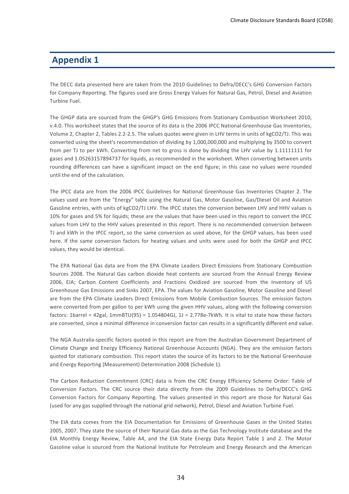### **Appendix 1**

The DECC data presented here are taken from the 2010 Guidelines to Defra/DECC's GHG Conversion Factors for Company Reporting. The figures used are Gross Energy Values for Natural Gas, Petrol, Diesel and Aviation Turbine Fuel

The GHGP data are sourced from the GHGP's GHG Emissions from Stationary Combustion Worksheet 2010, v.4.0. This worksheet states that the source of its data is the 2006 IPCC National Greenhouse Gas Inventories, Volume 2, Chapter 2, Tables 2.2-2.5. The values quotes were given in LHV terms in units of kgCO2/TJ. This was converted using the sheet's recommendation of dividing by 1,000,000,000 and multiplying by 3500 to convert from per TJ to per kWh. Converting from net to gross is done by dividing the LHV value by 1.11111111 for gases and 1.05263157894737 for liquids, as recommended in the worksheet. When converting between units rounding differences can have a significant impact on the end figure; in this case no values were rounded until the end of the calculation.

The IPCC data are from the 2006 IPCC Guidelines for National Greenhouse Gas Inventories Chapter 2. The values used are from the "Energy" table using the Natural Gas, Motor Gasoline, Gas/Diesel Oil and Aviation Gasoline entries, with units of kgCO2/TJ LHV. The IPCC states the conversion between LHV and HHV values is 10% for gases and 5% for liquids; these are the values that have been used in this report to convert the IPCC values from LHV to the HHV values presented in this report. There is no recommended conversion between TJ and kWh in the IPCC report, so the same conversion as used above, for the GHGP values, has been used here. If the same conversion factors for heating values and units were used for both the GHGP and IPCC values, they would be identical.

The EPA National Gas data are from the EPA Climate Leaders Direct Emissions from Stationary Combustion Sources 2008. The Natural Gas carbon dioxide heat contents are sourced from the Annual Energy Review 2006, EIA; Carbon Content Coefficients and Fractions Oxidized are sourced from the Inventory of US Greenhouse Gas Emissions and Sinks 2007, EPA. The values for Aviation Gasoline, Motor Gasoline and Diesel are from the EPA Climate Leaders Direct Emissions from Mobile Combustion Sources. The emission factors were converted from per gallon to per kWh using the given HHV values, along with the following conversion factors: 1barrel = 42gal, 1mmBTU(95) = 1.054804GJ, 1J = 2.778e-7kWh. It is vital to state how these factors are converted, since a minimal difference in conversion factor can results in a significantly different end value.

The NGA Australia-specific factors quoted in this report are from the Australian Government Department of Climate Change and Energy Efficiency National Greenhouse Accounts (NGA). They are the emission factors quoted for stationary combustion. This report states the source of its factors to be the National Greenhouse and Energy Reporting (Measurement) Determination 2008 (Schedule 1).

The Carbon Reduction Commitment (CRC) data is from the CRC Energy Efficiency Scheme Order: Table of Conversion Factors. The CRC source their data directly from the 2009 Guidelines to Defra/DECC's GHG Conversion Factors for Company Reporting. The values presented in this report are those for Natural Gas (used for any gas supplied through the national grid network), Petrol, Diesel and Aviation Turbine Fuel.

The EIA data comes from the EIA Documentation for Emissions of Greenhouse Gases in the United States 2005, 2007. They state the source of their Natural Gas data as the Gas Technology Institute database and the EIA Monthly Energy Review, Table A4, and the EIA State Energy Data Report Table 1 and 2. The Motor Gasoline value is sourced from the National Institute for Petroleum and Energy Research and the American